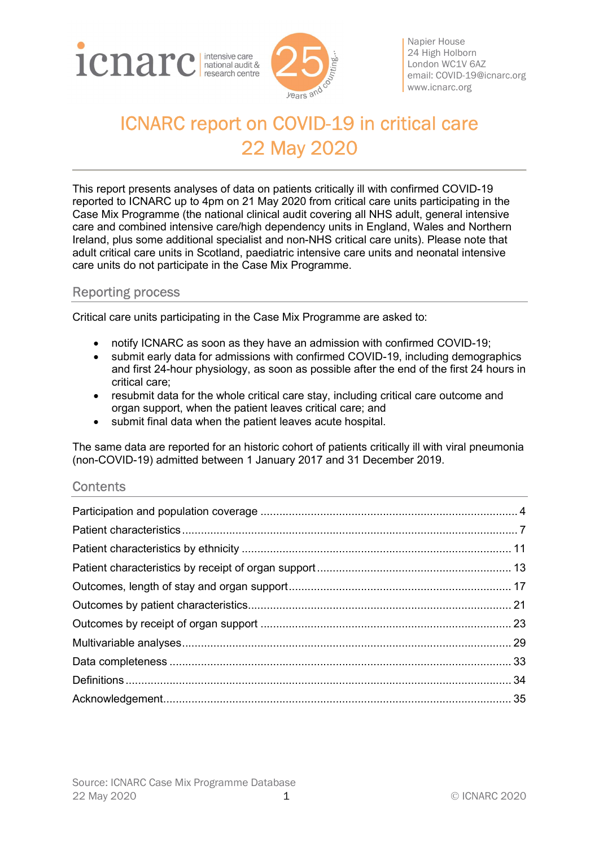



Napier House 24 High Holborn London WC1V 6AZ email: COVID-19@icnarc.org www.icnarc.org

# ICNARC report on COVID-19 in critical care 22 May 2020

This report presents analyses of data on patients critically ill with confirmed COVID-19 reported to ICNARC up to 4pm on 21 May 2020 from critical care units participating in the Case Mix Programme (the national clinical audit covering all NHS adult, general intensive care and combined intensive care/high dependency units in England, Wales and Northern Ireland, plus some additional specialist and non-NHS critical care units). Please note that adult critical care units in Scotland, paediatric intensive care units and neonatal intensive care units do not participate in the Case Mix Programme.

## Reporting process

Critical care units participating in the Case Mix Programme are asked to:

- notify ICNARC as soon as they have an admission with confirmed COVID-19;
- submit early data for admissions with confirmed COVID-19, including demographics and first 24-hour physiology, as soon as possible after the end of the first 24 hours in critical care;
- resubmit data for the whole critical care stay, including critical care outcome and organ support, when the patient leaves critical care; and
- submit final data when the patient leaves acute hospital.

The same data are reported for an historic cohort of patients critically ill with viral pneumonia (non-COVID-19) admitted between 1 January 2017 and 31 December 2019.

#### **Contents**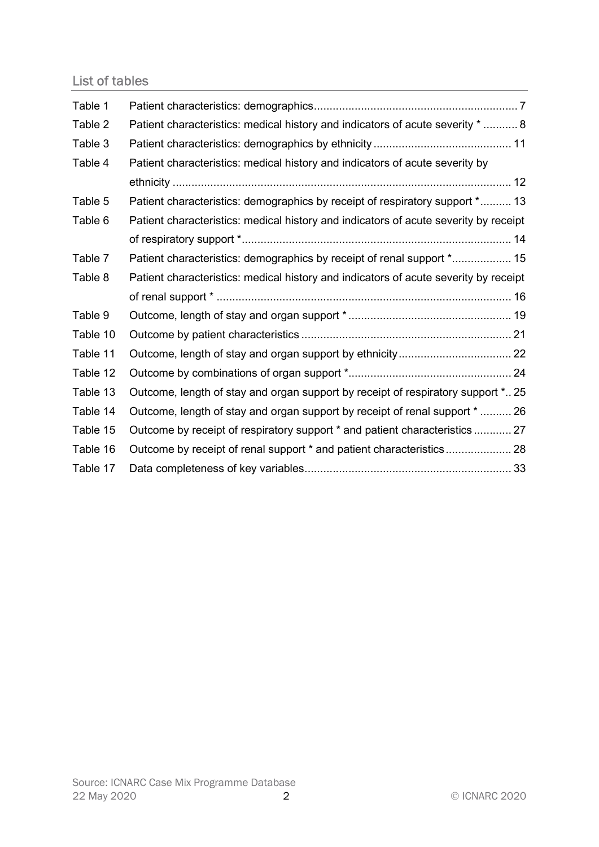# List of tables

| Table 1  |                                                                                      |
|----------|--------------------------------------------------------------------------------------|
| Table 2  | Patient characteristics: medical history and indicators of acute severity *  8       |
| Table 3  |                                                                                      |
| Table 4  | Patient characteristics: medical history and indicators of acute severity by         |
|          |                                                                                      |
| Table 5  | Patient characteristics: demographics by receipt of respiratory support * 13         |
| Table 6  | Patient characteristics: medical history and indicators of acute severity by receipt |
|          |                                                                                      |
| Table 7  | Patient characteristics: demographics by receipt of renal support * 15               |
| Table 8  | Patient characteristics: medical history and indicators of acute severity by receipt |
|          |                                                                                      |
| Table 9  |                                                                                      |
| Table 10 |                                                                                      |
| Table 11 |                                                                                      |
| Table 12 |                                                                                      |
| Table 13 | Outcome, length of stay and organ support by receipt of respiratory support * 25     |
| Table 14 | Outcome, length of stay and organ support by receipt of renal support *  26          |
| Table 15 | Outcome by receipt of respiratory support * and patient characteristics  27          |
| Table 16 |                                                                                      |
| Table 17 |                                                                                      |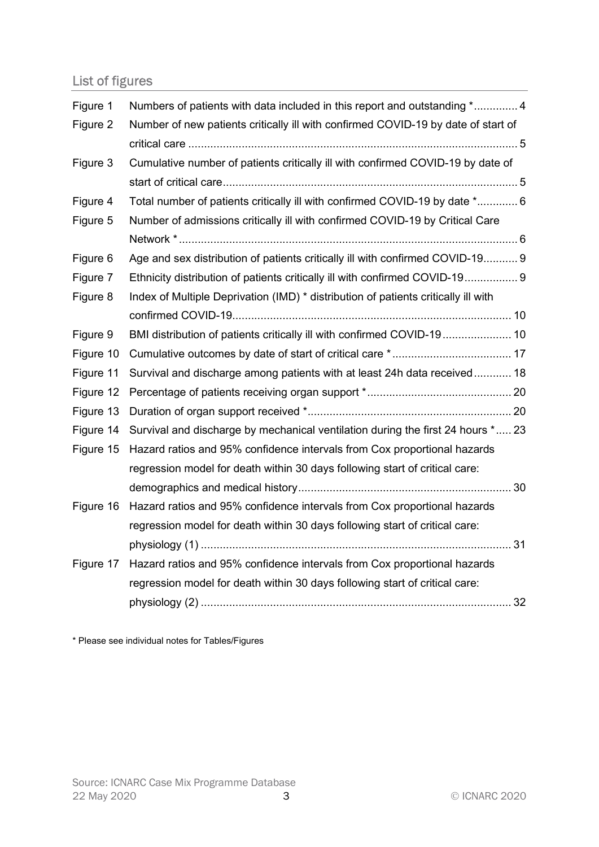# List of figures

| Figure 1  | Numbers of patients with data included in this report and outstanding * 4          |  |
|-----------|------------------------------------------------------------------------------------|--|
| Figure 2  | Number of new patients critically ill with confirmed COVID-19 by date of start of  |  |
|           |                                                                                    |  |
| Figure 3  | Cumulative number of patients critically ill with confirmed COVID-19 by date of    |  |
|           |                                                                                    |  |
| Figure 4  | Total number of patients critically ill with confirmed COVID-19 by date * 6        |  |
| Figure 5  | Number of admissions critically ill with confirmed COVID-19 by Critical Care       |  |
|           |                                                                                    |  |
| Figure 6  | Age and sex distribution of patients critically ill with confirmed COVID-19 9      |  |
| Figure 7  | Ethnicity distribution of patients critically ill with confirmed COVID-19 9        |  |
| Figure 8  | Index of Multiple Deprivation (IMD) * distribution of patients critically ill with |  |
|           |                                                                                    |  |
| Figure 9  | BMI distribution of patients critically ill with confirmed COVID-19 10             |  |
| Figure 10 |                                                                                    |  |
| Figure 11 | Survival and discharge among patients with at least 24h data received 18           |  |
| Figure 12 |                                                                                    |  |
| Figure 13 |                                                                                    |  |
| Figure 14 | Survival and discharge by mechanical ventilation during the first 24 hours * 23    |  |
| Figure 15 | Hazard ratios and 95% confidence intervals from Cox proportional hazards           |  |
|           | regression model for death within 30 days following start of critical care:        |  |
|           |                                                                                    |  |
| Figure 16 | Hazard ratios and 95% confidence intervals from Cox proportional hazards           |  |
|           | regression model for death within 30 days following start of critical care:        |  |
|           |                                                                                    |  |
|           | Figure 17 Hazard ratios and 95% confidence intervals from Cox proportional hazards |  |
|           | regression model for death within 30 days following start of critical care:        |  |
|           |                                                                                    |  |
|           |                                                                                    |  |

\* Please see individual notes for Tables/Figures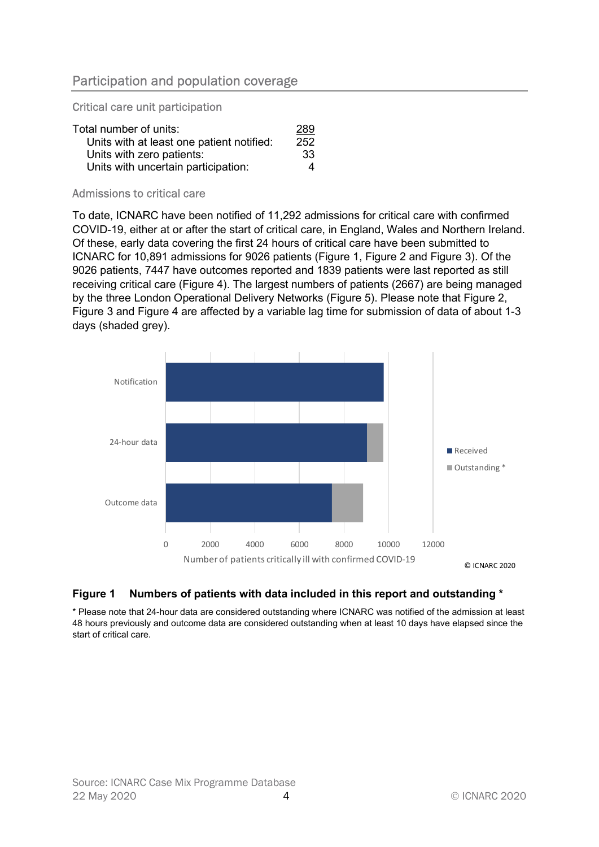## Participation and population coverage

Critical care unit participation

| Total number of units:                    | 289 |
|-------------------------------------------|-----|
| Units with at least one patient notified: | 252 |
| Units with zero patients:                 | -33 |
| Units with uncertain participation:       | Δ   |

#### Admissions to critical care

To date, ICNARC have been notified of 11,292 admissions for critical care with confirmed COVID-19, either at or after the start of critical care, in England, Wales and Northern Ireland. Of these, early data covering the first 24 hours of critical care have been submitted to ICNARC for 10,891 admissions for 9026 patients (Figure 1, Figure 2 and Figure 3). Of the 9026 patients, 7447 have outcomes reported and 1839 patients were last reported as still receiving critical care (Figure 4). The largest numbers of patients (2667) are being managed by the three London Operational Delivery Networks (Figure 5). Please note that Figure 2, Figure 3 and Figure 4 are affected by a variable lag time for submission of data of about 1-3 days (shaded grey).



#### Figure 1 Numbers of patients with data included in this report and outstanding \*

\* Please note that 24-hour data are considered outstanding where ICNARC was notified of the admission at least 48 hours previously and outcome data are considered outstanding when at least 10 days have elapsed since the start of critical care.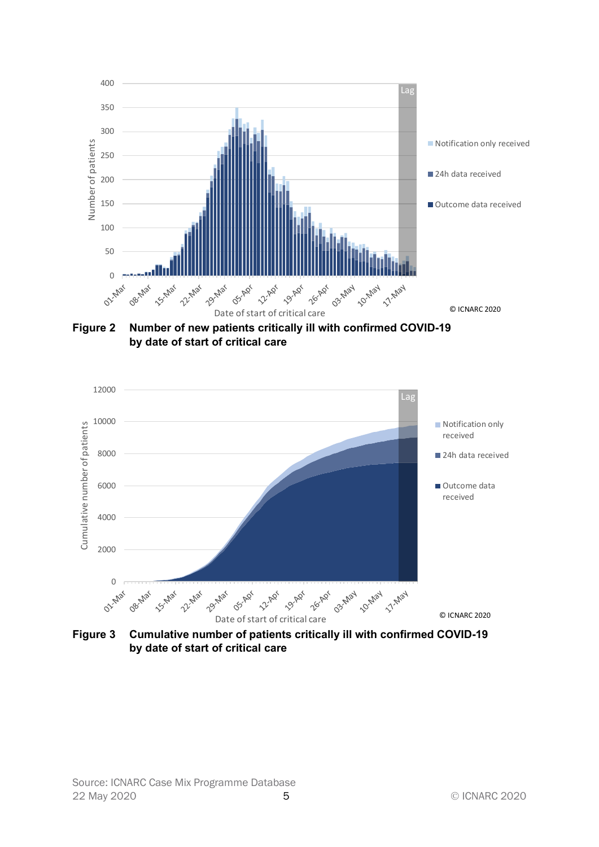

Figure 2 Number of new patients critically ill with confirmed COVID-19 by date of start of critical care

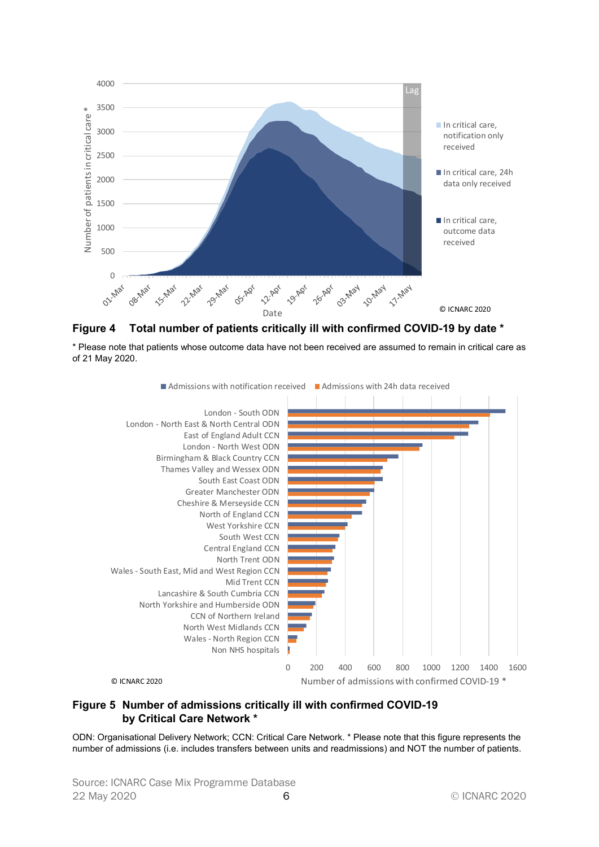

Figure 4 Total number of patients critically ill with confirmed COVID-19 by date \*

\* Please note that patients whose outcome data have not been received are assumed to remain in critical care as of 21 May 2020.



#### Figure 5 Number of admissions critically ill with confirmed COVID-19 by Critical Care Network \*

ODN: Organisational Delivery Network; CCN: Critical Care Network. \* Please note that this figure represents the number of admissions (i.e. includes transfers between units and readmissions) and NOT the number of patients.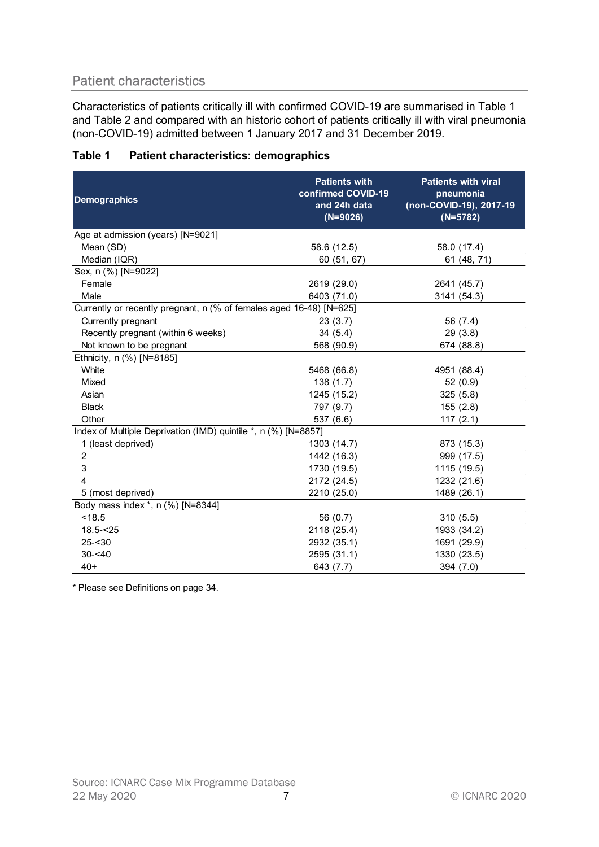# Patient characteristics

| Table 1 | <b>Patient characteristics: demographics</b> |
|---------|----------------------------------------------|
|         |                                              |

| <b>Patient characteristics</b><br>Characteristics of patients critically ill with confirmed COVID-19 are summarised in Table 1                                           |                                                                          |                                                                                  |  |  |
|--------------------------------------------------------------------------------------------------------------------------------------------------------------------------|--------------------------------------------------------------------------|----------------------------------------------------------------------------------|--|--|
| and Table 2 and compared with an historic cohort of patients critically ill with viral pneumonia<br>(non-COVID-19) admitted between 1 January 2017 and 31 December 2019. |                                                                          |                                                                                  |  |  |
| <b>Patient characteristics: demographics</b><br>Table 1                                                                                                                  |                                                                          |                                                                                  |  |  |
| <b>Demographics</b>                                                                                                                                                      | <b>Patients with</b><br>confirmed COVID-19<br>and 24h data<br>$(N=9026)$ | <b>Patients with viral</b><br>pneumonia<br>(non-COVID-19), 2017-19<br>$(N=5782)$ |  |  |
| Age at admission (years) [N=9021]                                                                                                                                        |                                                                          |                                                                                  |  |  |
| Mean (SD)                                                                                                                                                                | 58.6 (12.5)                                                              | 58.0 (17.4)                                                                      |  |  |
| Median (IQR)<br>Sex, n (%) [N=9022]                                                                                                                                      | 60 (51, 67)                                                              | 61 (48, 71)                                                                      |  |  |
| Female                                                                                                                                                                   | 2619 (29.0)                                                              | 2641 (45.7)                                                                      |  |  |
| Male                                                                                                                                                                     | 6403 (71.0)                                                              | 3141 (54.3)                                                                      |  |  |
| Currently or recently pregnant, n (% of females aged 16-49) [N=625]                                                                                                      |                                                                          |                                                                                  |  |  |
| Currently pregnant                                                                                                                                                       | 23(3.7)                                                                  | 56 (7.4)                                                                         |  |  |
| Recently pregnant (within 6 weeks)                                                                                                                                       | 34(5.4)                                                                  | 29(3.8)                                                                          |  |  |
| Not known to be pregnant                                                                                                                                                 | 568 (90.9)                                                               | 674 (88.8)                                                                       |  |  |
| Ethnicity, n (%) [N=8185]                                                                                                                                                |                                                                          |                                                                                  |  |  |
| White                                                                                                                                                                    | 5468 (66.8)                                                              | 4951 (88.4)                                                                      |  |  |
| Mixed                                                                                                                                                                    | 138(1.7)                                                                 | 52(0.9)                                                                          |  |  |
| Asian                                                                                                                                                                    | 1245 (15.2)                                                              | 325(5.8)                                                                         |  |  |
| <b>Black</b>                                                                                                                                                             | 797 (9.7)                                                                | 155(2.8)                                                                         |  |  |
| Other                                                                                                                                                                    | 537 (6.6)                                                                | 117(2.1)                                                                         |  |  |
| Index of Multiple Deprivation (IMD) quintile *, n (%) [N=8857]                                                                                                           |                                                                          |                                                                                  |  |  |
| 1 (least deprived)                                                                                                                                                       | 1303 (14.7)                                                              | 873 (15.3)                                                                       |  |  |
| 2                                                                                                                                                                        | 1442 (16.3)                                                              | 999 (17.5)                                                                       |  |  |
| 3                                                                                                                                                                        | 1730 (19.5)                                                              | 1115 (19.5)                                                                      |  |  |
| Δ                                                                                                                                                                        | 2172 (24.5)                                                              | 1232 (21.6)                                                                      |  |  |
| 5 (most deprived)                                                                                                                                                        | 2210 (25.0)                                                              | 1489 (26.1)                                                                      |  |  |
| Body mass index *, n (%) [N=8344]                                                                                                                                        |                                                                          |                                                                                  |  |  |
| < 18.5                                                                                                                                                                   | 56 (0.7)                                                                 | 310(5.5)                                                                         |  |  |
| $18.5 - 25$                                                                                                                                                              | 2118 (25.4)                                                              | 1933 (34.2)                                                                      |  |  |
| $25 - 30$                                                                                                                                                                | 2932 (35.1)                                                              | 1691 (29.9)                                                                      |  |  |
| $30 - 40$                                                                                                                                                                | 2595 (31.1)                                                              | 1330 (23.5)                                                                      |  |  |
| $40+$                                                                                                                                                                    | 643 (7.7)                                                                | 394 (7.0)                                                                        |  |  |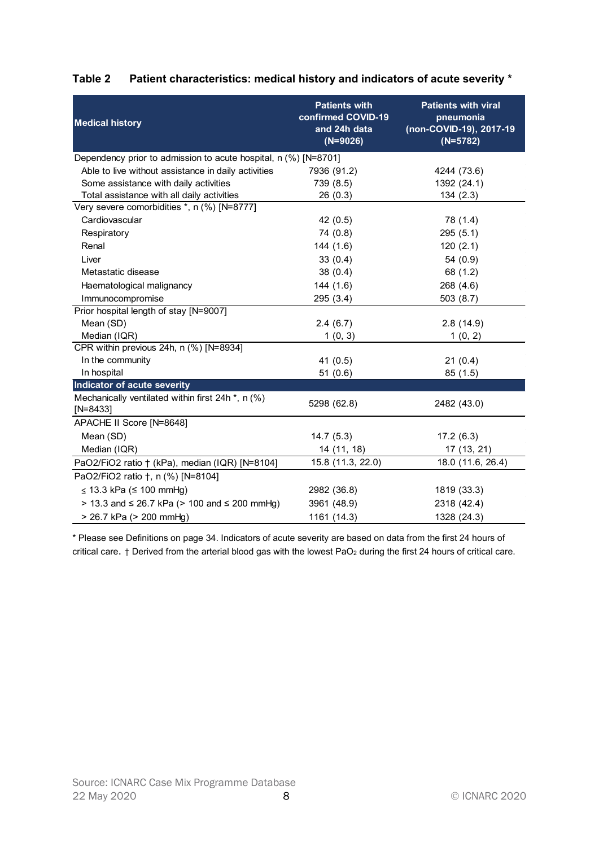| <b>Medical history</b>                                          | <b>Patients with</b><br>confirmed COVID-19<br>and 24h data | Patient characteristics: medical history and indicators of acute severity *<br><b>Patients with viral</b><br>pneumonia<br>(non-COVID-19), 2017-19 |
|-----------------------------------------------------------------|------------------------------------------------------------|---------------------------------------------------------------------------------------------------------------------------------------------------|
|                                                                 | $(N=9026)$                                                 | $(N=5782)$                                                                                                                                        |
| Dependency prior to admission to acute hospital, n (%) [N=8701] |                                                            |                                                                                                                                                   |
| Able to live without assistance in daily activities             | 7936 (91.2)                                                | 4244 (73.6)                                                                                                                                       |
| Some assistance with daily activities                           | 739 (8.5)                                                  | 1392 (24.1)                                                                                                                                       |
| Total assistance with all daily activities                      | 26(0.3)                                                    | 134(2.3)                                                                                                                                          |
| Very severe comorbidities *, n (%) [N=8777]                     |                                                            |                                                                                                                                                   |
| Cardiovascular                                                  | 42(0.5)                                                    | 78 (1.4)                                                                                                                                          |
| Respiratory                                                     | 74 (0.8)                                                   | 295(5.1)                                                                                                                                          |
| Renal                                                           | 144(1.6)                                                   | 120(2.1)                                                                                                                                          |
| Liver                                                           | 33(0.4)                                                    | 54 (0.9)                                                                                                                                          |
| Metastatic disease                                              | 38(0.4)                                                    | 68 (1.2)                                                                                                                                          |
| Haematological malignancy                                       | 144(1.6)                                                   | 268 (4.6)                                                                                                                                         |
| Immunocompromise                                                | 295 (3.4)                                                  | 503(8.7)                                                                                                                                          |
| Prior hospital length of stay [N=9007]                          |                                                            |                                                                                                                                                   |
| Mean (SD)                                                       | 2.4(6.7)                                                   | 2.8(14.9)                                                                                                                                         |
| Median (IQR)                                                    | 1(0, 3)                                                    | 1(0, 2)                                                                                                                                           |
| CPR within previous 24h, n (%) [N=8934]                         |                                                            |                                                                                                                                                   |
| In the community                                                | 41(0.5)                                                    | 21(0.4)                                                                                                                                           |
| In hospital                                                     | 51(0.6)                                                    | 85 (1.5)                                                                                                                                          |
| Indicator of acute severity                                     |                                                            |                                                                                                                                                   |
| Mechanically ventilated within first 24h *, n (%)               |                                                            |                                                                                                                                                   |
| $[N=8433]$                                                      | 5298 (62.8)                                                | 2482 (43.0)                                                                                                                                       |
| APACHE II Score [N=8648]                                        |                                                            |                                                                                                                                                   |
| Mean (SD)                                                       | 14.7(5.3)                                                  | 17.2(6.3)                                                                                                                                         |
| Median (IQR)                                                    | 14 (11, 18)                                                | 17(13, 21)                                                                                                                                        |
| PaO2/FiO2 ratio + (kPa), median (IQR) [N=8104]                  | 15.8 (11.3, 22.0)                                          | 18.0 (11.6, 26.4)                                                                                                                                 |
| PaO2/FiO2 ratio †, n (%) [N=8104]                               |                                                            |                                                                                                                                                   |
| $\leq$ 13.3 kPa ( $\leq$ 100 mmHg)                              | 2982 (36.8)                                                | 1819 (33.3)                                                                                                                                       |
| > 13.3 and ≤ 26.7 kPa (> 100 and ≤ 200 mmHg)                    | 3961 (48.9)                                                | 2318 (42.4)                                                                                                                                       |
|                                                                 |                                                            | 1328 (24.3)                                                                                                                                       |
| > 26.7 kPa (> 200 mmHg)                                         | 1161 (14.3)                                                |                                                                                                                                                   |

## Table 2 Patient characteristics: medical history and indicators of acute severity \*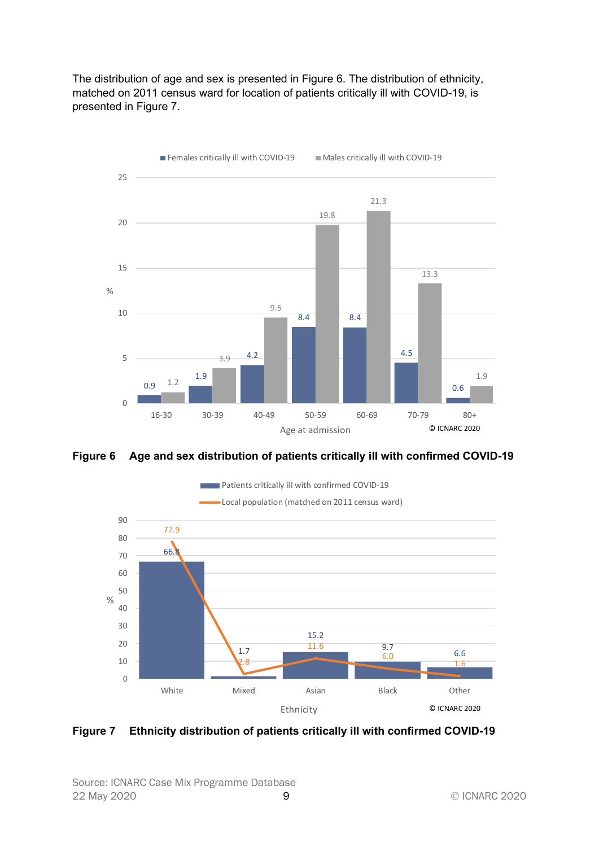The distribution of age and sex is presented in Figure 6. The distribution of ethnicity, matched on 2011 census ward for location of patients critically ill with COVID-19, is presented in Figure 7.



Figure 6 Age and sex distribution of patients critically ill with confirmed COVID-19



Figure 7 Ethnicity distribution of patients critically ill with confirmed COVID-19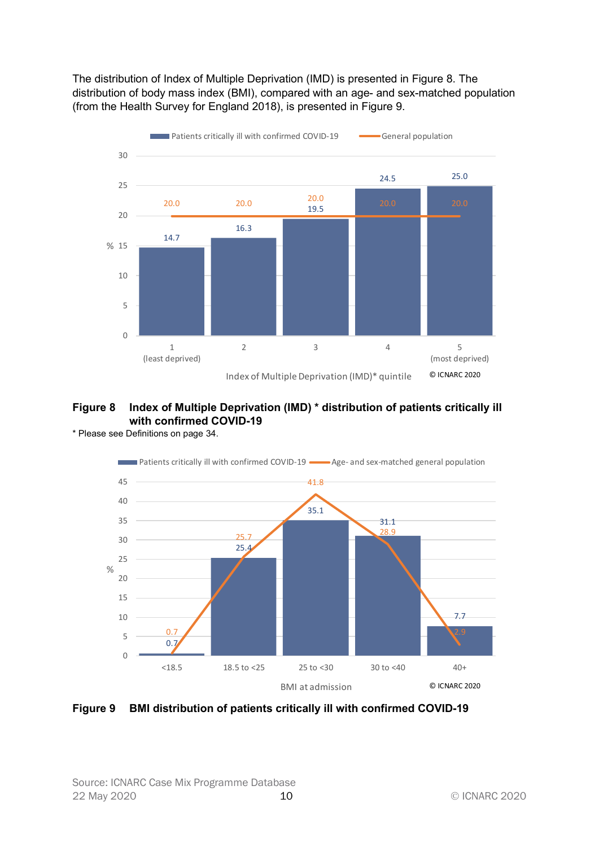The distribution of Index of Multiple Deprivation (IMD) is presented in Figure 8. The distribution of body mass index (BMI), compared with an age- and sex-matched population (from the Health Survey for England 2018), is presented in Figure 9.



## Figure 8 Index of Multiple Deprivation (IMD) \* distribution of patients critically ill with confirmed COVID-19

\* Please see Definitions on page 34.



Figure 9 BMI distribution of patients critically ill with confirmed COVID-19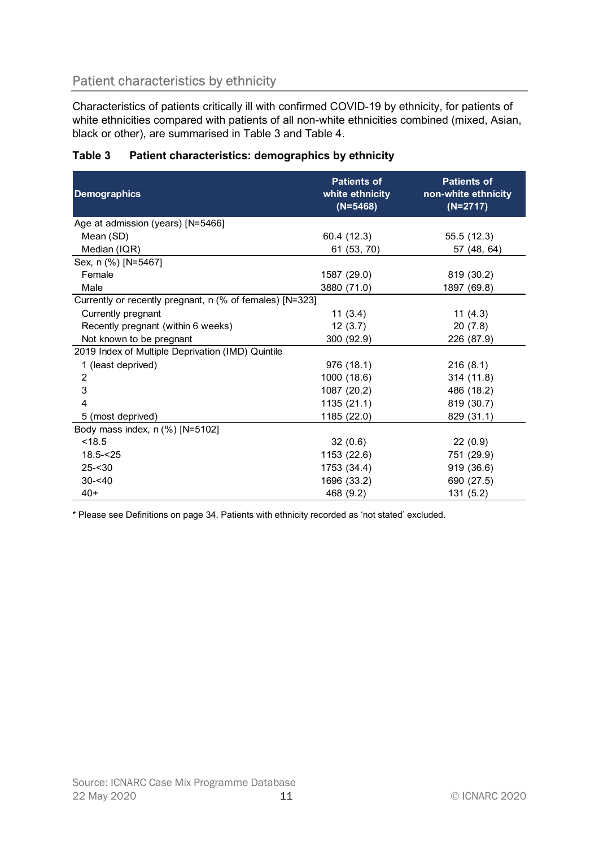# Patient characteristics by ethnicity

| <b>Patient characteristics by ethnicity</b>                                                                                                                                                                                                                  |                                                     |                                                         |  |  |
|--------------------------------------------------------------------------------------------------------------------------------------------------------------------------------------------------------------------------------------------------------------|-----------------------------------------------------|---------------------------------------------------------|--|--|
| Characteristics of patients critically ill with confirmed COVID-19 by ethnicity, for patients of<br>white ethnicities compared with patients of all non-white ethnicities combined (mixed, Asian,<br>black or other), are summarised in Table 3 and Table 4. |                                                     |                                                         |  |  |
| Table 3<br>Patient characteristics: demographics by ethnicity                                                                                                                                                                                                |                                                     |                                                         |  |  |
| <b>Demographics</b>                                                                                                                                                                                                                                          | <b>Patients of</b><br>white ethnicity<br>$(N=5468)$ | <b>Patients of</b><br>non-white ethnicity<br>$(N=2717)$ |  |  |
| Age at admission (years) [N=5466]                                                                                                                                                                                                                            |                                                     |                                                         |  |  |
| Mean (SD)                                                                                                                                                                                                                                                    | 60.4 (12.3)                                         | 55.5 (12.3)                                             |  |  |
| Median (IQR)                                                                                                                                                                                                                                                 | 61 (53, 70)                                         | 57 (48, 64)                                             |  |  |
| Sex, n (%) [N=5467]<br>Female                                                                                                                                                                                                                                | 1587 (29.0)                                         | 819 (30.2)                                              |  |  |
| Male                                                                                                                                                                                                                                                         | 3880 (71.0)                                         | 1897 (69.8)                                             |  |  |
| Currently or recently pregnant, n (% of females) [N=323]                                                                                                                                                                                                     |                                                     |                                                         |  |  |
| Currently pregnant                                                                                                                                                                                                                                           | 11(3.4)                                             | 11 $(4.3)$                                              |  |  |
| Recently pregnant (within 6 weeks)                                                                                                                                                                                                                           | 12(3.7)                                             | 20(7.8)                                                 |  |  |
| Not known to be pregnant                                                                                                                                                                                                                                     | 300 (92.9)                                          | 226 (87.9)                                              |  |  |
| 2019 Index of Multiple Deprivation (IMD) Quintile                                                                                                                                                                                                            |                                                     |                                                         |  |  |
| 1 (least deprived)                                                                                                                                                                                                                                           | 976 (18.1)                                          | 216(8.1)                                                |  |  |
| 2                                                                                                                                                                                                                                                            | 1000 (18.6)                                         | 314 (11.8)                                              |  |  |
| 3                                                                                                                                                                                                                                                            | 1087 (20.2)                                         | 486 (18.2)                                              |  |  |
|                                                                                                                                                                                                                                                              | 1135(21.1)                                          | 819 (30.7)                                              |  |  |
| 5 (most deprived)                                                                                                                                                                                                                                            | 1185 (22.0)                                         | 829 (31.1)                                              |  |  |
| Body mass index, n (%) [N=5102]                                                                                                                                                                                                                              |                                                     |                                                         |  |  |
| < 18.5                                                                                                                                                                                                                                                       | 32(0.6)                                             | 22(0.9)                                                 |  |  |
| $18.5 - 25$                                                                                                                                                                                                                                                  | 1153 (22.6)                                         | 751 (29.9)                                              |  |  |
| $25 - 30$                                                                                                                                                                                                                                                    | 1753 (34.4)                                         | 919 (36.6)                                              |  |  |
| $30 - 40$                                                                                                                                                                                                                                                    | 1696 (33.2)                                         | 690 (27.5)                                              |  |  |
| $40+$                                                                                                                                                                                                                                                        | 468 (9.2)                                           | 131(5.2)                                                |  |  |

## Table 3 Patient characteristics: demographics by ethnicity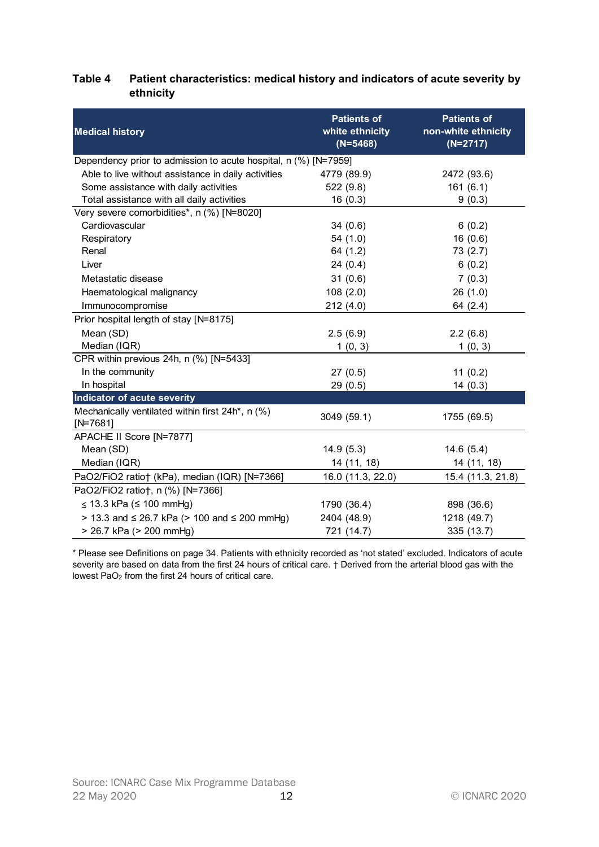## Table 4 Patient characteristics: medical history and indicators of acute severity by ethnicity

| <b>Medical history</b>                                          | <b>Patients of</b><br>white ethnicity | <b>Patients of</b><br>non-white ethnicity |
|-----------------------------------------------------------------|---------------------------------------|-------------------------------------------|
|                                                                 | $(N=5468)$                            | $(N=2717)$                                |
| Dependency prior to admission to acute hospital, n (%) [N=7959] |                                       |                                           |
| Able to live without assistance in daily activities             | 4779 (89.9)                           | 2472 (93.6)                               |
| Some assistance with daily activities                           | 522 (9.8)                             | 161(6.1)                                  |
| Total assistance with all daily activities                      | 16(0.3)                               | 9(0.3)                                    |
| Very severe comorbidities*, n (%) [N=8020]                      |                                       |                                           |
| Cardiovascular                                                  | 34(0.6)                               | 6(0.2)                                    |
| Respiratory                                                     | 54 (1.0)                              | 16(0.6)                                   |
| Renal                                                           | 64 (1.2)                              | 73(2.7)                                   |
| Liver                                                           | 24(0.4)                               | 6(0.2)                                    |
| Metastatic disease                                              | 31(0.6)                               | 7(0.3)                                    |
| Haematological malignancy                                       | 108(2.0)                              | 26(1.0)                                   |
| Immunocompromise                                                | 212(4.0)                              | 64 (2.4)                                  |
| Prior hospital length of stay [N=8175]                          |                                       |                                           |
| Mean (SD)                                                       | 2.5(6.9)                              | 2.2(6.8)                                  |
| Median (IQR)                                                    | 1(0, 3)                               | 1(0, 3)                                   |
| CPR within previous 24h, n (%) [N=5433]                         |                                       |                                           |
| In the community                                                | 27(0.5)                               | 11(0.2)                                   |
| In hospital                                                     | 29(0.5)                               | 14(0.3)                                   |
| Indicator of acute severity                                     |                                       |                                           |
| Mechanically ventilated within first 24h*, n (%)<br>$[N=7681]$  | 3049 (59.1)                           | 1755 (69.5)                               |
| APACHE II Score [N=7877]                                        |                                       |                                           |
| Mean (SD)                                                       | 14.9(5.3)                             | 14.6(5.4)                                 |
| Median (IQR)                                                    | 14 (11, 18)                           | 14 (11, 18)                               |
| PaO2/FiO2 ratio† (kPa), median (IQR) [N=7366]                   | 16.0 (11.3, 22.0)                     | 15.4 (11.3, 21.8)                         |
| PaO2/FiO2 ratio†, n (%) [N=7366]                                |                                       |                                           |
| $\leq$ 13.3 kPa ( $\leq$ 100 mmHg)                              | 1790 (36.4)                           | 898 (36.6)                                |
| > 13.3 and ≤ 26.7 kPa (> 100 and ≤ 200 mmHg)                    | 2404 (48.9)                           | 1218 (49.7)                               |
| > 26.7 kPa (> 200 mmHg)                                         | 721 (14.7)                            | 335 (13.7)                                |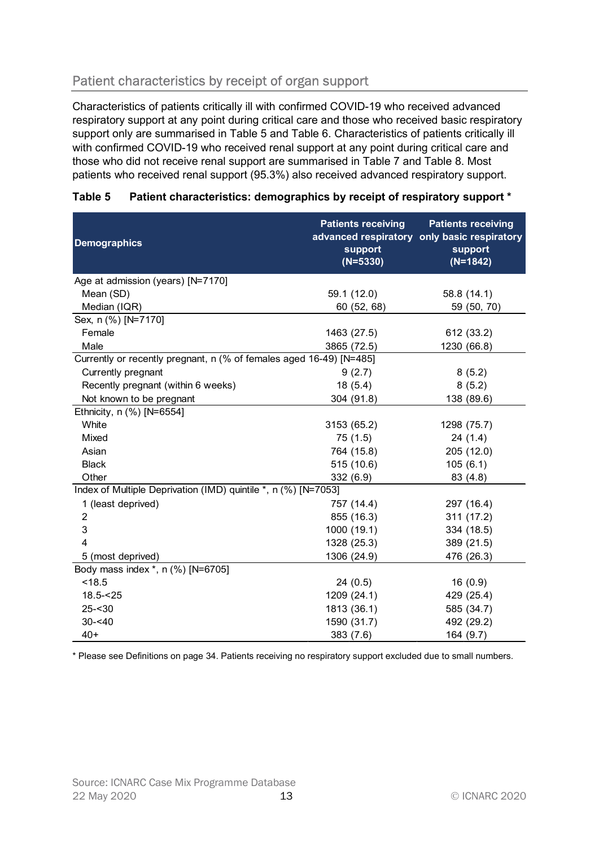# Patient characteristics by receipt of organ support

| Patient characteristics by receipt of organ support                                                                                                                                                                                                                                                                                                                                                                                                                                                                                                                        |                                                    |                                                                                                   |
|----------------------------------------------------------------------------------------------------------------------------------------------------------------------------------------------------------------------------------------------------------------------------------------------------------------------------------------------------------------------------------------------------------------------------------------------------------------------------------------------------------------------------------------------------------------------------|----------------------------------------------------|---------------------------------------------------------------------------------------------------|
| Characteristics of patients critically ill with confirmed COVID-19 who received advanced<br>respiratory support at any point during critical care and those who received basic respiratory<br>support only are summarised in Table 5 and Table 6. Characteristics of patients critically ill<br>with confirmed COVID-19 who received renal support at any point during critical care and<br>those who did not receive renal support are summarised in Table 7 and Table 8. Most<br>patients who received renal support (95.3%) also received advanced respiratory support. |                                                    |                                                                                                   |
| Table 5<br>Patient characteristics: demographics by receipt of respiratory support *                                                                                                                                                                                                                                                                                                                                                                                                                                                                                       |                                                    |                                                                                                   |
| <b>Demographics</b>                                                                                                                                                                                                                                                                                                                                                                                                                                                                                                                                                        | <b>Patients receiving</b><br>support<br>$(N=5330)$ | <b>Patients receiving</b><br>advanced respiratory only basic respiratory<br>support<br>$(N=1842)$ |
| Age at admission (years) [N=7170]                                                                                                                                                                                                                                                                                                                                                                                                                                                                                                                                          |                                                    |                                                                                                   |
| Mean (SD)                                                                                                                                                                                                                                                                                                                                                                                                                                                                                                                                                                  | 59.1 (12.0)                                        | 58.8 (14.1)                                                                                       |
| Median (IQR)                                                                                                                                                                                                                                                                                                                                                                                                                                                                                                                                                               | 60 (52, 68)                                        | 59 (50, 70)                                                                                       |
| Sex, n (%) [N=7170]                                                                                                                                                                                                                                                                                                                                                                                                                                                                                                                                                        |                                                    |                                                                                                   |
| Female                                                                                                                                                                                                                                                                                                                                                                                                                                                                                                                                                                     | 1463 (27.5)                                        | 612 (33.2)                                                                                        |
| Male                                                                                                                                                                                                                                                                                                                                                                                                                                                                                                                                                                       | 3865 (72.5)                                        | 1230 (66.8)                                                                                       |
| Currently or recently pregnant, n (% of females aged 16-49) [N=485]                                                                                                                                                                                                                                                                                                                                                                                                                                                                                                        |                                                    |                                                                                                   |
| Currently pregnant                                                                                                                                                                                                                                                                                                                                                                                                                                                                                                                                                         | 9(2.7)                                             | 8(5.2)                                                                                            |
| Recently pregnant (within 6 weeks)                                                                                                                                                                                                                                                                                                                                                                                                                                                                                                                                         | 18(5.4)                                            | 8(5.2)                                                                                            |
| Not known to be pregnant                                                                                                                                                                                                                                                                                                                                                                                                                                                                                                                                                   | 304 (91.8)                                         | 138 (89.6)                                                                                        |
| Ethnicity, n (%) [N=6554]                                                                                                                                                                                                                                                                                                                                                                                                                                                                                                                                                  |                                                    |                                                                                                   |
| White                                                                                                                                                                                                                                                                                                                                                                                                                                                                                                                                                                      | 3153 (65.2)                                        | 1298 (75.7)                                                                                       |
| Mixed                                                                                                                                                                                                                                                                                                                                                                                                                                                                                                                                                                      | 75(1.5)                                            | 24(1.4)                                                                                           |
| Asian                                                                                                                                                                                                                                                                                                                                                                                                                                                                                                                                                                      | 764 (15.8)                                         | 205 (12.0)                                                                                        |
| <b>Black</b>                                                                                                                                                                                                                                                                                                                                                                                                                                                                                                                                                               | 515(10.6)                                          | 105(6.1)                                                                                          |
| Other                                                                                                                                                                                                                                                                                                                                                                                                                                                                                                                                                                      | 332 (6.9)                                          | 83 (4.8)                                                                                          |
| Index of Multiple Deprivation (IMD) quintile *, n (%) [N=7053]                                                                                                                                                                                                                                                                                                                                                                                                                                                                                                             |                                                    |                                                                                                   |
| 1 (least deprived)                                                                                                                                                                                                                                                                                                                                                                                                                                                                                                                                                         | 757 (14.4)                                         | 297 (16.4)                                                                                        |
| 2                                                                                                                                                                                                                                                                                                                                                                                                                                                                                                                                                                          | 855 (16.3)                                         | 311 (17.2)                                                                                        |
| 3                                                                                                                                                                                                                                                                                                                                                                                                                                                                                                                                                                          | 1000 (19.1)                                        | 334 (18.5)                                                                                        |
|                                                                                                                                                                                                                                                                                                                                                                                                                                                                                                                                                                            | 1328 (25.3)                                        | 389 (21.5)                                                                                        |
| 5 (most deprived)                                                                                                                                                                                                                                                                                                                                                                                                                                                                                                                                                          | 1306 (24.9)                                        | 476 (26.3)                                                                                        |
| Body mass index *, n (%) [N=6705]                                                                                                                                                                                                                                                                                                                                                                                                                                                                                                                                          |                                                    |                                                                                                   |
| < 18.5                                                                                                                                                                                                                                                                                                                                                                                                                                                                                                                                                                     | 24(0.5)                                            | 16(0.9)                                                                                           |
| $18.5 - 25$                                                                                                                                                                                                                                                                                                                                                                                                                                                                                                                                                                | 1209 (24.1)                                        | 429 (25.4)                                                                                        |
| $25 - 30$                                                                                                                                                                                                                                                                                                                                                                                                                                                                                                                                                                  | 1813 (36.1)                                        | 585 (34.7)                                                                                        |
| $30 - 40$<br>$40+$                                                                                                                                                                                                                                                                                                                                                                                                                                                                                                                                                         | 1590 (31.7)                                        | 492 (29.2)                                                                                        |
|                                                                                                                                                                                                                                                                                                                                                                                                                                                                                                                                                                            | 383(7.6)                                           | 164 (9.7)                                                                                         |

#### Table 5 Patient characteristics: demographics by receipt of respiratory support \*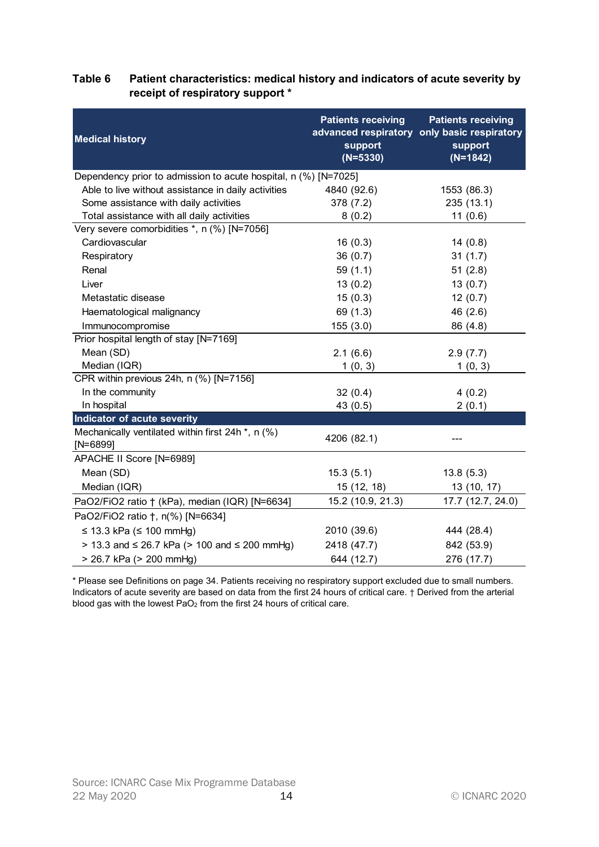| <b>Medical history</b>                                                      | <b>Patients receiving</b><br>support | <b>Patients receiving</b><br>advanced respiratory only basic respiratory<br>support |
|-----------------------------------------------------------------------------|--------------------------------------|-------------------------------------------------------------------------------------|
|                                                                             | $(N=5330)$                           | $(N=1842)$                                                                          |
| Dependency prior to admission to acute hospital, n (%) [N=7025]             |                                      |                                                                                     |
| Able to live without assistance in daily activities                         | 4840 (92.6)                          | 1553 (86.3)                                                                         |
| Some assistance with daily activities                                       | 378 (7.2)                            | 235 (13.1)                                                                          |
| Total assistance with all daily activities                                  | 8(0.2)                               | 11(0.6)                                                                             |
| Very severe comorbidities *, n (%) [N=7056]                                 |                                      |                                                                                     |
| Cardiovascular                                                              | 16(0.3)                              | 14(0.8)                                                                             |
| Respiratory                                                                 | 36(0.7)                              | 31(1.7)                                                                             |
| Renal                                                                       | 59(1.1)                              | 51(2.8)                                                                             |
| Liver                                                                       | 13(0.2)                              | 13(0.7)                                                                             |
| Metastatic disease                                                          | 15(0.3)                              | 12(0.7)                                                                             |
| Haematological malignancy                                                   | 69 (1.3)                             | 46 (2.6)                                                                            |
| Immunocompromise                                                            | 155(3.0)                             | 86 (4.8)                                                                            |
| Prior hospital length of stay [N=7169]                                      |                                      |                                                                                     |
| Mean (SD)                                                                   | 2.1(6.6)                             | 2.9(7.7)                                                                            |
| Median (IQR)                                                                | 1(0, 3)                              | 1(0, 3)                                                                             |
| CPR within previous 24h, n (%) [N=7156]                                     |                                      |                                                                                     |
| In the community                                                            | 32(0.4)                              | 4(0.2)                                                                              |
| In hospital                                                                 | 43(0.5)                              | 2(0.1)                                                                              |
| Indicator of acute severity                                                 |                                      |                                                                                     |
| Mechanically ventilated within first 24h <sup>*</sup> , n (%)<br>$[N=6899]$ | 4206 (82.1)                          |                                                                                     |
| APACHE II Score [N=6989]                                                    |                                      |                                                                                     |
| Mean (SD)                                                                   | 15.3(5.1)                            | 13.8(5.3)                                                                           |
| Median (IQR)                                                                | 15 (12, 18)                          | 13 (10, 17)                                                                         |
|                                                                             | 15.2 (10.9, 21.3)                    |                                                                                     |
| PaO2/FiO2 ratio + (kPa), median (IQR) [N=6634]                              |                                      | 17.7 (12.7, 24.0)                                                                   |
| PaO2/FiO2 ratio †, n(%) [N=6634]                                            |                                      |                                                                                     |
| $\leq$ 13.3 kPa ( $\leq$ 100 mmHg)                                          | 2010 (39.6)                          | 444 (28.4)                                                                          |
| > 13.3 and ≤ 26.7 kPa (> 100 and ≤ 200 mmHg)                                | 2418 (47.7)                          | 842 (53.9)                                                                          |
| > 26.7 kPa (> 200 mmHg)                                                     | 644 (12.7)                           | 276 (17.7)                                                                          |

#### Table 6 Patient characteristics: medical history and indicators of acute severity by receipt of respiratory support \*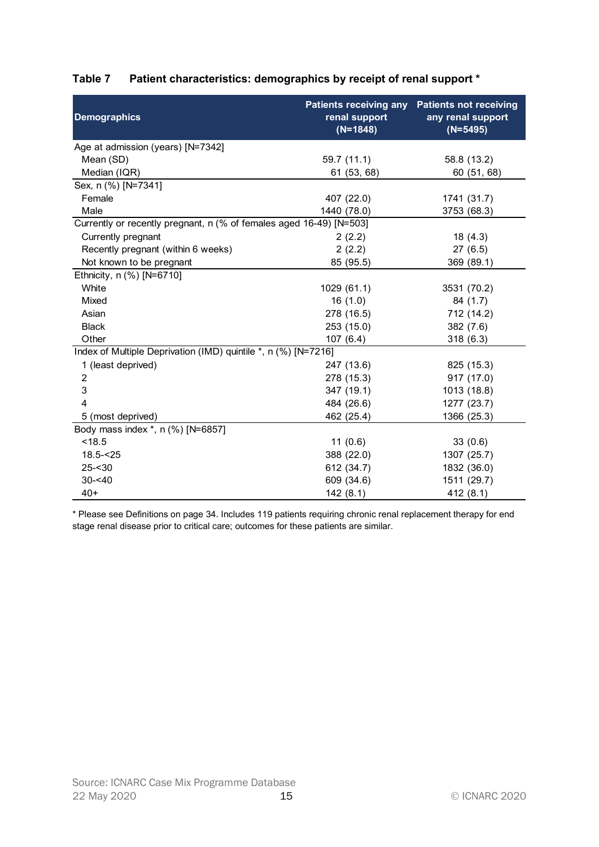|                                                                     | Patient characteristics: demographics by receipt of renal support *<br><b>Patients receiving any</b> | <b>Patients not receiving</b>   |
|---------------------------------------------------------------------|------------------------------------------------------------------------------------------------------|---------------------------------|
| <b>Demographics</b>                                                 | renal support<br>$(N=1848)$                                                                          | any renal support<br>$(N=5495)$ |
| Age at admission (years) [N=7342]                                   |                                                                                                      |                                 |
| Mean (SD)                                                           | 59.7(11.1)                                                                                           | 58.8 (13.2)                     |
| Median (IQR)                                                        | 61 (53, 68)                                                                                          | 60 (51, 68)                     |
| Sex, n (%) [N=7341]                                                 |                                                                                                      |                                 |
| Female                                                              | 407 (22.0)                                                                                           | 1741 (31.7)                     |
| Male                                                                | 1440 (78.0)                                                                                          | 3753 (68.3)                     |
| Currently or recently pregnant, n (% of females aged 16-49) [N=503] |                                                                                                      |                                 |
| Currently pregnant                                                  | 2(2.2)                                                                                               | 18(4.3)                         |
| Recently pregnant (within 6 weeks)                                  | 2(2.2)                                                                                               | 27(6.5)                         |
| Not known to be pregnant                                            | 85 (95.5)                                                                                            | 369 (89.1)                      |
| Ethnicity, n (%) [N=6710]                                           |                                                                                                      |                                 |
| White                                                               | 1029 (61.1)                                                                                          | 3531 (70.2)                     |
| Mixed                                                               | 16(1.0)                                                                                              | 84 (1.7)                        |
| Asian                                                               | 278 (16.5)                                                                                           | 712 (14.2)                      |
| <b>Black</b>                                                        | 253 (15.0)                                                                                           | 382 (7.6)                       |
| Other                                                               | 107(6.4)                                                                                             | 318(6.3)                        |
| Index of Multiple Deprivation (IMD) quintile *, n (%) [N=7216]      |                                                                                                      |                                 |
| 1 (least deprived)                                                  | 247 (13.6)                                                                                           | 825 (15.3)                      |
| 2                                                                   | 278 (15.3)                                                                                           | 917 (17.0)                      |
| 3                                                                   | 347 (19.1)                                                                                           | 1013 (18.8)                     |
|                                                                     | 484 (26.6)                                                                                           | 1277 (23.7)                     |
| 5 (most deprived)                                                   | 462 (25.4)                                                                                           | 1366 (25.3)                     |
| Body mass index *, n (%) [N=6857]                                   |                                                                                                      |                                 |
| < 18.5                                                              | 11(0.6)                                                                                              | 33(0.6)                         |
| $18.5 - 25$                                                         | 388 (22.0)                                                                                           | 1307 (25.7)                     |
| $25 - 30$                                                           | 612 (34.7)                                                                                           | 1832 (36.0)                     |
| $30 - 40$                                                           | 609 (34.6)                                                                                           | 1511 (29.7)                     |
|                                                                     |                                                                                                      | 412 (8.1)                       |
| $40+$                                                               | 142(8.1)                                                                                             |                                 |

## Table 7 Patient characteristics: demographics by receipt of renal support \*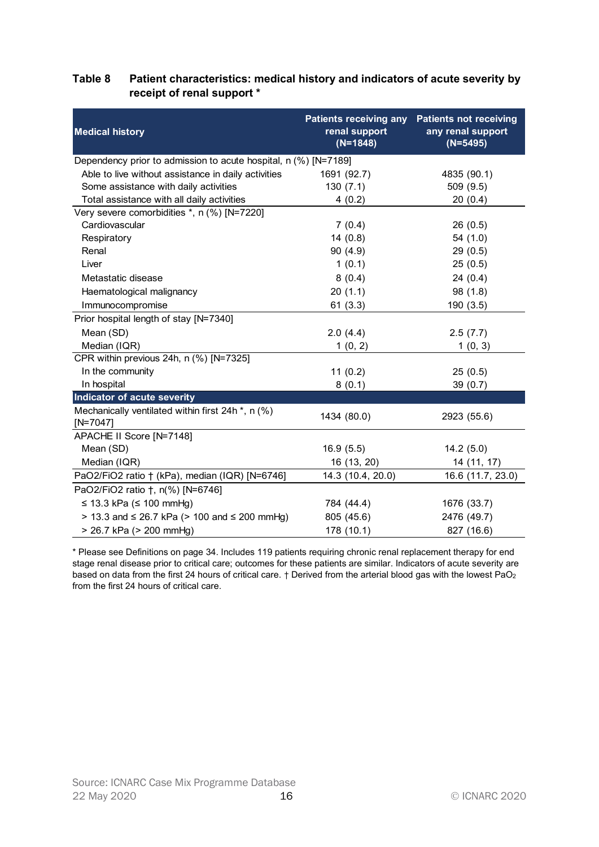#### Table 8 Patient characteristics: medical history and indicators of acute severity by receipt of renal support \*

|                                                                 | <b>Patients receiving any</b> | <b>Patients not receiving</b>   |
|-----------------------------------------------------------------|-------------------------------|---------------------------------|
| <b>Medical history</b>                                          | renal support<br>$(N=1848)$   | any renal support<br>$(N=5495)$ |
| Dependency prior to admission to acute hospital, n (%) [N=7189] |                               |                                 |
| Able to live without assistance in daily activities             | 1691 (92.7)                   | 4835 (90.1)                     |
| Some assistance with daily activities                           | 130(7.1)                      | 509 (9.5)                       |
| Total assistance with all daily activities                      | 4(0.2)                        | 20(0.4)                         |
| Very severe comorbidities *, n (%) [N=7220]                     |                               |                                 |
| Cardiovascular                                                  | 7(0.4)                        | 26(0.5)                         |
| Respiratory                                                     | 14(0.8)                       | 54 (1.0)                        |
| Renal                                                           | 90(4.9)                       | 29(0.5)                         |
| Liver                                                           | 1(0.1)                        | 25(0.5)                         |
| Metastatic disease                                              | 8(0.4)                        | 24(0.4)                         |
| Haematological malignancy                                       | 20(1.1)                       | 98 (1.8)                        |
| Immunocompromise                                                | 61(3.3)                       | 190(3.5)                        |
| Prior hospital length of stay [N=7340]                          |                               |                                 |
| Mean (SD)                                                       | 2.0(4.4)                      | 2.5(7.7)                        |
| Median (IQR)                                                    | 1(0, 2)                       | 1(0, 3)                         |
| CPR within previous 24h, n (%) [N=7325]                         |                               |                                 |
| In the community                                                | 11(0.2)                       | 25(0.5)                         |
| In hospital                                                     | 8(0.1)                        | 39(0.7)                         |
| Indicator of acute severity                                     |                               |                                 |
| Mechanically ventilated within first 24h *, n (%)<br>$[N=7047]$ | 1434 (80.0)                   | 2923 (55.6)                     |
| APACHE II Score [N=7148]                                        |                               |                                 |
| Mean (SD)                                                       | 16.9(5.5)                     | 14.2(5.0)                       |
| Median (IQR)                                                    | 16 (13, 20)                   | 14 (11, 17)                     |
| PaO2/FiO2 ratio + (kPa), median (IQR) [N=6746]                  | 14.3 (10.4, 20.0)             | 16.6 (11.7, 23.0)               |
| PaO2/FiO2 ratio †, n(%) [N=6746]                                |                               |                                 |
| ≤ 13.3 kPa (≤ 100 mmHg)                                         | 784 (44.4)                    | 1676 (33.7)                     |
| > 13.3 and ≤ 26.7 kPa (> 100 and ≤ 200 mmHg)                    | 805 (45.6)                    | 2476 (49.7)                     |
| > 26.7 kPa (> 200 mmHg)                                         | 178 (10.1)                    | 827 (16.6)                      |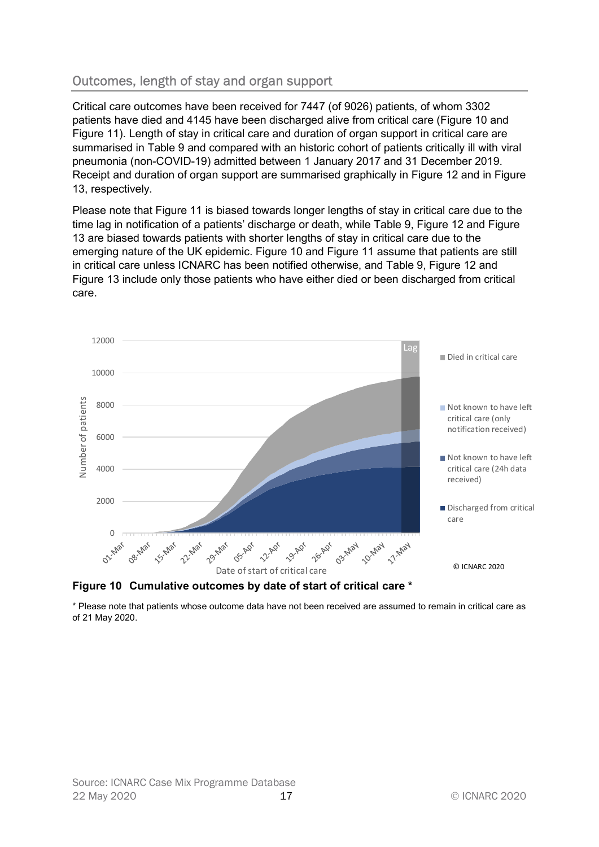# Outcomes, length of stay and organ support

Critical care outcomes have been received for 7447 (of 9026) patients, of whom 3302 patients have died and 4145 have been discharged alive from critical care (Figure 10 and Figure 11). Length of stay in critical care and duration of organ support in critical care are summarised in Table 9 and compared with an historic cohort of patients critically ill with viral pneumonia (non-COVID-19) admitted between 1 January 2017 and 31 December 2019. Receipt and duration of organ support are summarised graphically in Figure 12 and in Figure 13, respectively.

Please note that Figure 11 is biased towards longer lengths of stay in critical care due to the time lag in notification of a patients' discharge or death, while Table 9, Figure 12 and Figure 13 are biased towards patients with shorter lengths of stay in critical care due to the emerging nature of the UK epidemic. Figure 10 and Figure 11 assume that patients are still in critical care unless ICNARC has been notified otherwise, and Table 9, Figure 12 and Figure 13 include only those patients who have either died or been discharged from critical care.





\* Please note that patients whose outcome data have not been received are assumed to remain in critical care as of 21 May 2020.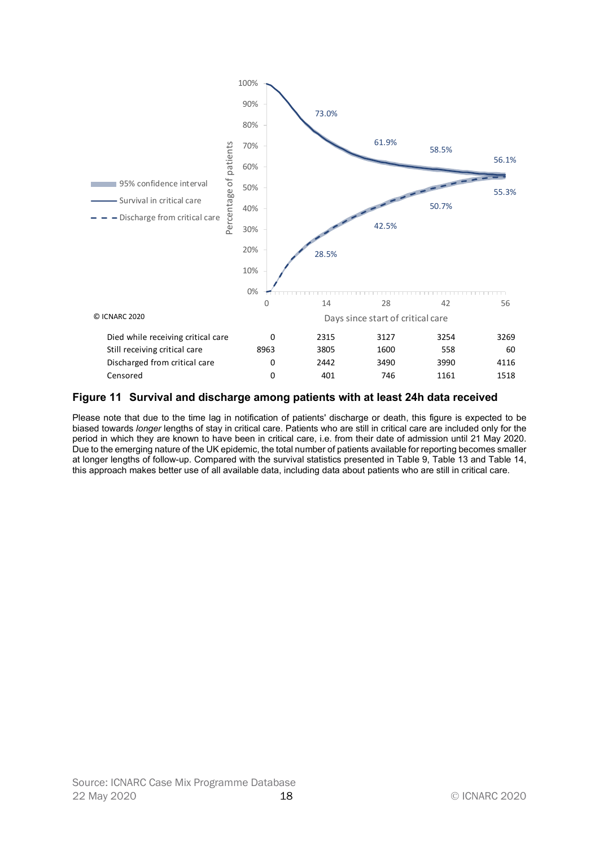

#### Figure 11 Survival and discharge among patients with at least 24h data received

Please note that due to the time lag in notification of patients' discharge or death, this figure is expected to be biased towards longer lengths of stay in critical care. Patients who are still in critical care are included only for the period in which they are known to have been in critical care, i.e. from their date of admission until 21 May 2020. Due to the emerging nature of the UK epidemic, the total number of patients available for reporting becomes smaller at longer lengths of follow-up. Compared with the survival statistics presented in Table 9, Table 13 and Table 14, this approach makes better use of all available data, including data about patients who are still in critical care.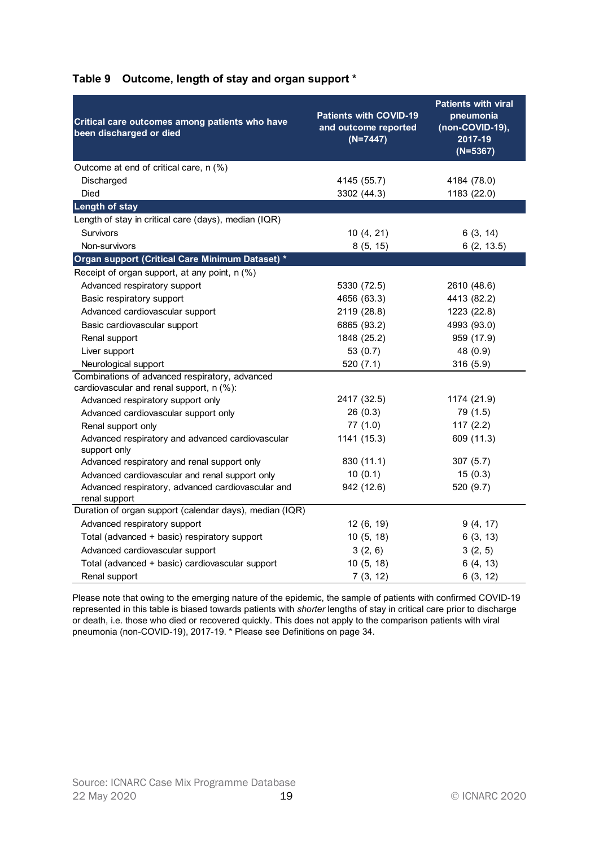| Critical care outcomes among patients who have<br>been discharged or died | <b>Patients with COVID-19</b><br>and outcome reported<br>$(N=7447)$ | <b>Patients with viral</b><br>pneumonia<br>$(non-COVID-19),$<br>2017-19<br>$(N=5367)$ |
|---------------------------------------------------------------------------|---------------------------------------------------------------------|---------------------------------------------------------------------------------------|
| Outcome at end of critical care, n (%)                                    |                                                                     |                                                                                       |
| Discharged                                                                | 4145 (55.7)                                                         | 4184 (78.0)                                                                           |
| <b>Died</b>                                                               | 3302 (44.3)                                                         | 1183 (22.0)                                                                           |
| <b>Length of stay</b>                                                     |                                                                     |                                                                                       |
| Length of stay in critical care (days), median (IQR)                      |                                                                     |                                                                                       |
| Survivors                                                                 | 10(4, 21)                                                           | 6(3, 14)                                                                              |
| Non-survivors                                                             | 8(5, 15)                                                            | 6(2, 13.5)                                                                            |
| Organ support (Critical Care Minimum Dataset) *                           |                                                                     |                                                                                       |
| Receipt of organ support, at any point, n (%)                             |                                                                     |                                                                                       |
| Advanced respiratory support                                              | 5330 (72.5)                                                         | 2610 (48.6)                                                                           |
| Basic respiratory support                                                 | 4656 (63.3)<br>2119 (28.8)                                          | 4413 (82.2)                                                                           |
| Advanced cardiovascular support<br>Basic cardiovascular support           | 6865 (93.2)                                                         | 1223 (22.8)<br>4993 (93.0)                                                            |
| Renal support                                                             | 1848 (25.2)                                                         | 959 (17.9)                                                                            |
| Liver support                                                             | 53 $(0.7)$                                                          | 48 (0.9)                                                                              |
| Neurological support                                                      | 520(7.1)                                                            | 316 (5.9)                                                                             |
| Combinations of advanced respiratory, advanced                            |                                                                     |                                                                                       |
| cardiovascular and renal support, n (%):                                  |                                                                     |                                                                                       |
| Advanced respiratory support only                                         | 2417 (32.5)                                                         | 1174 (21.9)                                                                           |
| Advanced cardiovascular support only                                      | 26(0.3)                                                             | 79 (1.5)                                                                              |
| Renal support only                                                        | 77(1.0)                                                             | 117(2.2)                                                                              |
| Advanced respiratory and advanced cardiovascular<br>support only          | 1141 (15.3)                                                         | 609 (11.3)                                                                            |
| Advanced respiratory and renal support only                               | 830 (11.1)                                                          | 307(5.7)                                                                              |
| Advanced cardiovascular and renal support only                            | 10(0.1)                                                             | 15(0.3)                                                                               |
| Advanced respiratory, advanced cardiovascular and<br>renal support        | 942 (12.6)                                                          | 520 (9.7)                                                                             |
| Duration of organ support (calendar days), median (IQR)                   |                                                                     |                                                                                       |
| Advanced respiratory support                                              | 12 (6, 19)                                                          | 9(4, 17)                                                                              |
| Total (advanced + basic) respiratory support                              | 10(5, 18)                                                           | 6(3, 13)                                                                              |
| Advanced cardiovascular support                                           | 3(2, 6)                                                             | 3(2, 5)                                                                               |
| Total (advanced + basic) cardiovascular support                           | 10(5, 18)                                                           | 6(4, 13)                                                                              |
| Renal support                                                             | 7(3, 12)                                                            | 6(3, 12)                                                                              |

## Table 9 Outcome, length of stay and organ support \*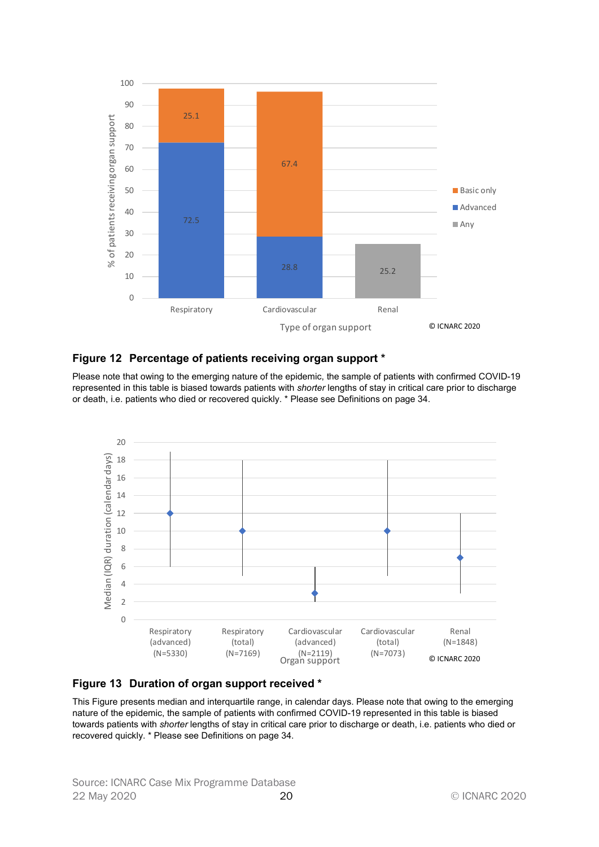

#### Figure 12 Percentage of patients receiving organ support \*

Please note that owing to the emerging nature of the epidemic, the sample of patients with confirmed COVID-19 represented in this table is biased towards patients with shorter lengths of stay in critical care prior to discharge or death, i.e. patients who died or recovered quickly. \* Please see Definitions on page 34.





This Figure presents median and interquartile range, in calendar days. Please note that owing to the emerging nature of the epidemic, the sample of patients with confirmed COVID-19 represented in this table is biased towards patients with shorter lengths of stay in critical care prior to discharge or death, i.e. patients who died or recovered quickly. \* Please see Definitions on page 34.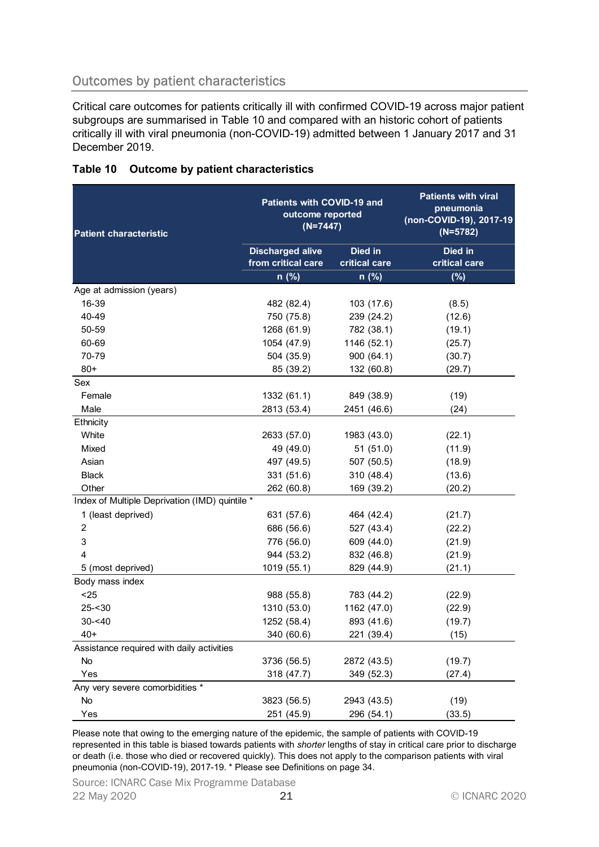# Outcomes by patient characteristics

| subgroups are summarised in Table 10 and compared with an historic cohort of patients<br>critically ill with viral pneumonia (non-COVID-19) admitted between 1 January 2017 and 31<br>December 2019. |                                                              |                          | Critical care outcomes for patients critically ill with confirmed COVID-19 across major patient |
|------------------------------------------------------------------------------------------------------------------------------------------------------------------------------------------------------|--------------------------------------------------------------|--------------------------|-------------------------------------------------------------------------------------------------|
| Table 10<br>Outcome by patient characteristics                                                                                                                                                       |                                                              |                          |                                                                                                 |
| <b>Patient characteristic</b>                                                                                                                                                                        | Patients with COVID-19 and<br>outcome reported<br>$(N=7447)$ |                          | <b>Patients with viral</b><br>pneumonia<br>(non-COVID-19), 2017-19<br>$(N=5782)$                |
|                                                                                                                                                                                                      | <b>Discharged alive</b><br>from critical care                | Died in<br>critical care | Died in<br>critical care                                                                        |
|                                                                                                                                                                                                      | $n$ (%)                                                      | $n$ (%)                  | (%)                                                                                             |
| Age at admission (years)                                                                                                                                                                             |                                                              |                          |                                                                                                 |
| 16-39                                                                                                                                                                                                | 482 (82.4)                                                   | 103 (17.6)               | (8.5)                                                                                           |
| 40-49                                                                                                                                                                                                | 750 (75.8)                                                   | 239 (24.2)               | (12.6)                                                                                          |
| 50-59                                                                                                                                                                                                | 1268 (61.9)                                                  | 782 (38.1)               | (19.1)                                                                                          |
| 60-69                                                                                                                                                                                                | 1054 (47.9)                                                  | 1146 (52.1)              | (25.7)                                                                                          |
| 70-79                                                                                                                                                                                                | 504 (35.9)                                                   | 900 (64.1)               | (30.7)                                                                                          |
| $80+$                                                                                                                                                                                                | 85 (39.2)                                                    | 132 (60.8)               | (29.7)                                                                                          |
| Sex                                                                                                                                                                                                  |                                                              |                          |                                                                                                 |
| Female                                                                                                                                                                                               | 1332 (61.1)                                                  | 849 (38.9)               | (19)                                                                                            |
| Male                                                                                                                                                                                                 | 2813 (53.4)                                                  | 2451 (46.6)              | (24)                                                                                            |
| Ethnicity                                                                                                                                                                                            |                                                              |                          |                                                                                                 |
| White                                                                                                                                                                                                | 2633 (57.0)                                                  | 1983 (43.0)              | (22.1)                                                                                          |
| Mixed                                                                                                                                                                                                | 49 (49.0)                                                    | 51(51.0)                 | (11.9)                                                                                          |
| Asian                                                                                                                                                                                                | 497 (49.5)                                                   | 507 (50.5)               | (18.9)                                                                                          |
| Black                                                                                                                                                                                                | 331 (51.6)                                                   | 310 (48.4)               | (13.6)                                                                                          |
| Other                                                                                                                                                                                                | 262 (60.8)                                                   | 169 (39.2)               | (20.2)                                                                                          |
| Index of Multiple Deprivation (IMD) quintile *                                                                                                                                                       |                                                              |                          |                                                                                                 |
| 1 (least deprived)                                                                                                                                                                                   | 631 (57.6)                                                   | 464 (42.4)               | (21.7)                                                                                          |
| 2                                                                                                                                                                                                    | 686 (56.6)                                                   | 527 (43.4)               | (22.2)                                                                                          |
| 3                                                                                                                                                                                                    | 776 (56.0)                                                   | 609 (44.0)               | (21.9)                                                                                          |
|                                                                                                                                                                                                      | 944 (53.2)                                                   | 832 (46.8)               | (21.9)                                                                                          |
| 5 (most deprived)                                                                                                                                                                                    | 1019 (55.1)                                                  | 829 (44.9)               | (21.1)                                                                                          |
| Body mass index                                                                                                                                                                                      |                                                              |                          |                                                                                                 |
| $25$                                                                                                                                                                                                 | 988 (55.8)                                                   | 783 (44.2)               | (22.9)                                                                                          |
| $25 - 30$                                                                                                                                                                                            | 1310 (53.0)                                                  | 1162 (47.0)              | (22.9)                                                                                          |
| $30 - 40$                                                                                                                                                                                            | 1252 (58.4)                                                  | 893 (41.6)               | (19.7)                                                                                          |
| $40+$                                                                                                                                                                                                | 340 (60.6)                                                   | 221 (39.4)               | (15)                                                                                            |
| Assistance required with daily activities                                                                                                                                                            |                                                              |                          |                                                                                                 |
| No                                                                                                                                                                                                   | 3736 (56.5)                                                  | 2872 (43.5)              | (19.7)                                                                                          |
| Yes                                                                                                                                                                                                  | 318 (47.7)                                                   | 349 (52.3)               | (27.4)                                                                                          |
| Any very severe comorbidities *                                                                                                                                                                      |                                                              |                          |                                                                                                 |
| No                                                                                                                                                                                                   | 3823 (56.5)                                                  | 2943 (43.5)              | (19)                                                                                            |
| Yes                                                                                                                                                                                                  | 251 (45.9)                                                   | 296 (54.1)               | (33.5)                                                                                          |

#### Table 10 Outcome by patient characteristics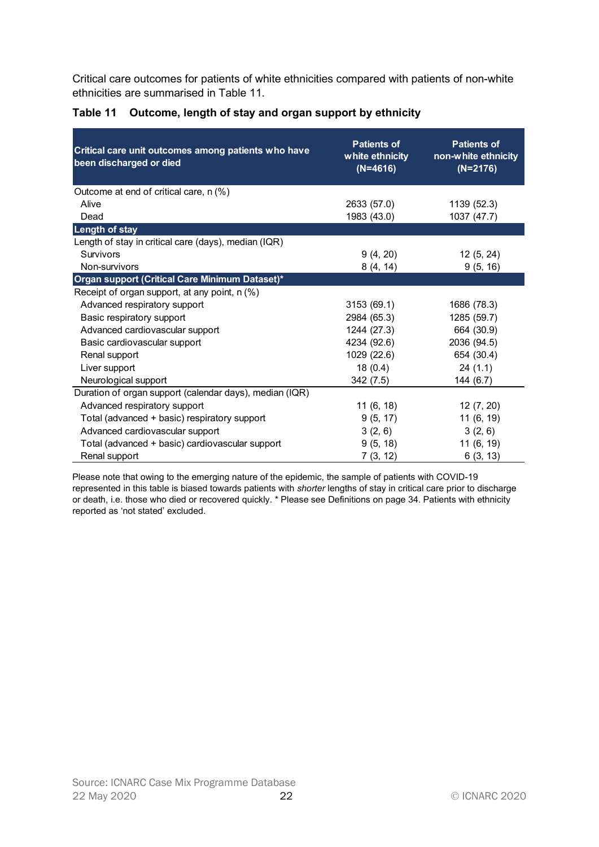| ethnicities are summarised in Table 11.                                        |                                                     | Critical care outcomes for patients of white ethnicities compared with patients of non-white |
|--------------------------------------------------------------------------------|-----------------------------------------------------|----------------------------------------------------------------------------------------------|
| Table 11<br>Outcome, length of stay and organ support by ethnicity             |                                                     |                                                                                              |
| Critical care unit outcomes among patients who have<br>been discharged or died | <b>Patients of</b><br>white ethnicity<br>$(N=4616)$ | <b>Patients of</b><br>non-white ethnicity<br>$(N=2176)$                                      |
| Outcome at end of critical care, n (%)                                         |                                                     |                                                                                              |
| Alive                                                                          | 2633 (57.0)                                         | 1139 (52.3)                                                                                  |
| Dead                                                                           | 1983 (43.0)                                         | 1037 (47.7)                                                                                  |
| <b>Length of stay</b>                                                          |                                                     |                                                                                              |
| Length of stay in critical care (days), median (IQR)                           |                                                     |                                                                                              |
| Survivors                                                                      | 9(4, 20)                                            | 12(5, 24)                                                                                    |
| Non-survivors                                                                  | 8(4, 14)                                            | 9(5, 16)                                                                                     |
| Organ support (Critical Care Minimum Dataset)*                                 |                                                     |                                                                                              |
| Receipt of organ support, at any point, n (%)                                  |                                                     |                                                                                              |
| Advanced respiratory support                                                   | 3153 (69.1)                                         | 1686 (78.3)                                                                                  |
| Basic respiratory support                                                      | 2984 (65.3)                                         | 1285 (59.7)                                                                                  |
| Advanced cardiovascular support                                                | 1244 (27.3)                                         | 664 (30.9)                                                                                   |
| Basic cardiovascular support                                                   | 4234 (92.6)                                         | 2036 (94.5)                                                                                  |
| Renal support                                                                  | 1029 (22.6)                                         | 654 (30.4)                                                                                   |
| Liver support                                                                  | 18(0.4)                                             | 24(1.1)                                                                                      |
| Neurological support                                                           | 342 (7.5)                                           | 144(6.7)                                                                                     |
| Duration of organ support (calendar days), median (IQR)                        |                                                     |                                                                                              |
| Advanced respiratory support                                                   | 11(6, 18)                                           | 12 (7, 20)                                                                                   |
| Total (advanced + basic) respiratory support                                   | 9(5, 17)                                            | 11 (6, 19)                                                                                   |
| Advanced cardiovascular support                                                | 3(2, 6)                                             | 3(2, 6)                                                                                      |
| Total (advanced + basic) cardiovascular support                                | 9(5, 18)                                            | 11 (6, 19)                                                                                   |
| Renal support                                                                  | 7(3, 12)                                            | 6(3, 13)                                                                                     |

#### Table 11 Outcome, length of stay and organ support by ethnicity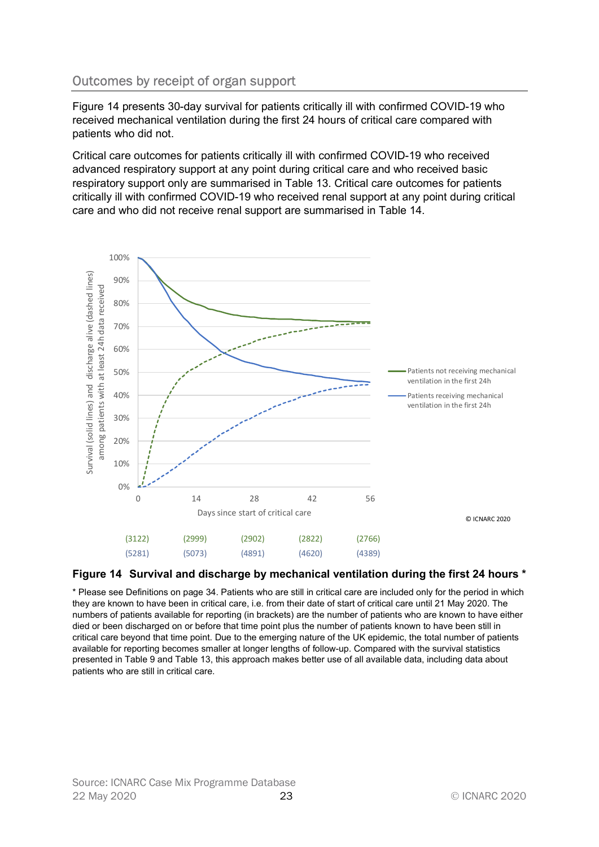# Outcomes by receipt of organ support

Figure 14 presents 30-day survival for patients critically ill with confirmed COVID-19 who received mechanical ventilation during the first 24 hours of critical care compared with patients who did not.

Critical care outcomes for patients critically ill with confirmed COVID-19 who received advanced respiratory support at any point during critical care and who received basic respiratory support only are summarised in Table 13. Critical care outcomes for patients critically ill with confirmed COVID-19 who received renal support at any point during critical care and who did not receive renal support are summarised in Table 14.



#### Figure 14 Survival and discharge by mechanical ventilation during the first 24 hours \*

\* Please see Definitions on page 34. Patients who are still in critical care are included only for the period in which they are known to have been in critical care, i.e. from their date of start of critical care until 21 May 2020. The numbers of patients available for reporting (in brackets) are the number of patients who are known to have either died or been discharged on or before that time point plus the number of patients known to have been still in critical care beyond that time point. Due to the emerging nature of the UK epidemic, the total number of patients available for reporting becomes smaller at longer lengths of follow-up. Compared with the survival statistics presented in Table 9 and Table 13, this approach makes better use of all available data, including data about patients who are still in critical care.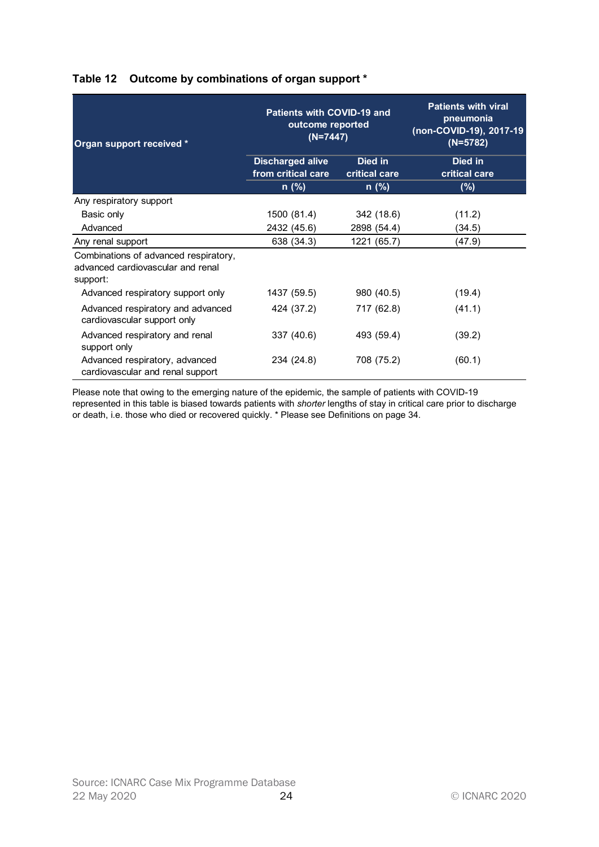| Organ support received *                                                               | Patients with COVID-19 and<br>outcome reported<br>$(N=7447)$ |                          | <b>Patients with viral</b><br>pneumonia<br>(non-COVID-19), 2017-19<br>$(N=5782)$ |
|----------------------------------------------------------------------------------------|--------------------------------------------------------------|--------------------------|----------------------------------------------------------------------------------|
|                                                                                        | <b>Discharged alive</b><br>from critical care                | Died in<br>critical care | Died in<br>critical care                                                         |
|                                                                                        | n (%)                                                        | n (%)                    | $(\%)$                                                                           |
| Any respiratory support                                                                |                                                              |                          |                                                                                  |
| Basic only                                                                             | 1500 (81.4)                                                  | 342 (18.6)               | (11.2)                                                                           |
| Advanced                                                                               | 2432 (45.6)                                                  | 2898 (54.4)              | (34.5)                                                                           |
| Any renal support                                                                      | 638 (34.3)                                                   | 1221 (65.7)              | (47.9)                                                                           |
| Combinations of advanced respiratory,<br>advanced cardiovascular and renal<br>support: |                                                              |                          |                                                                                  |
| Advanced respiratory support only                                                      | 1437 (59.5)                                                  | 980 (40.5)               | (19.4)                                                                           |
| Advanced respiratory and advanced<br>cardiovascular support only                       | 424 (37.2)                                                   | 717 (62.8)               | (41.1)                                                                           |
| Advanced respiratory and renal<br>support only                                         | 337 (40.6)                                                   | 493 (59.4)               | (39.2)                                                                           |
| Advanced respiratory, advanced<br>cardiovascular and renal support                     | 234 (24.8)                                                   | 708 (75.2)               | (60.1)                                                                           |

## Table 12 Outcome by combinations of organ support \*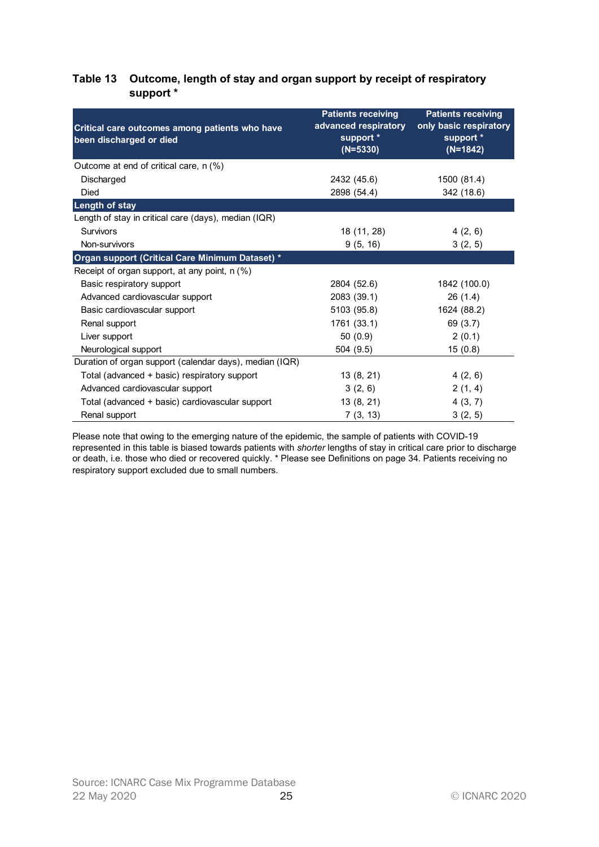#### Table 13 Outcome, length of stay and organ support by receipt of respiratory support \*

| Outcome, length of stay and organ support by receipt of respiratory<br>Table 13<br>support * |                                                                              |                                                                                |
|----------------------------------------------------------------------------------------------|------------------------------------------------------------------------------|--------------------------------------------------------------------------------|
| Critical care outcomes among patients who have<br>been discharged or died                    | <b>Patients receiving</b><br>advanced respiratory<br>support *<br>$(N=5330)$ | <b>Patients receiving</b><br>only basic respiratory<br>support *<br>$(N=1842)$ |
| Outcome at end of critical care, n (%)                                                       |                                                                              |                                                                                |
| Discharged                                                                                   | 2432 (45.6)                                                                  | 1500 (81.4)                                                                    |
| Died                                                                                         | 2898 (54.4)                                                                  | 342 (18.6)                                                                     |
| <b>Length of stay</b>                                                                        |                                                                              |                                                                                |
| Length of stay in critical care (days), median (IQR)                                         |                                                                              |                                                                                |
| Survivors                                                                                    | 18 (11, 28)                                                                  | 4(2, 6)                                                                        |
| Non-survivors                                                                                | 9(5, 16)                                                                     | 3(2, 5)                                                                        |
| Organ support (Critical Care Minimum Dataset) *                                              |                                                                              |                                                                                |
| Receipt of organ support, at any point, n (%)                                                |                                                                              |                                                                                |
| Basic respiratory support                                                                    | 2804 (52.6)                                                                  | 1842 (100.0)                                                                   |
| Advanced cardiovascular support                                                              | 2083 (39.1)                                                                  | 26(1.4)                                                                        |
| Basic cardiovascular support                                                                 | 5103 (95.8)                                                                  | 1624 (88.2)                                                                    |
| Renal support                                                                                | 1761 (33.1)                                                                  | 69 (3.7)                                                                       |
| Liver support                                                                                | 50(0.9)                                                                      | 2(0.1)                                                                         |
| Neurological support                                                                         | 504 (9.5)                                                                    | 15(0.8)                                                                        |
| Duration of organ support (calendar days), median (IQR)                                      |                                                                              |                                                                                |
| Total (advanced + basic) respiratory support                                                 | 13 (8, 21)                                                                   | 4(2, 6)                                                                        |
| Advanced cardiovascular support                                                              | 3(2, 6)                                                                      | 2(1, 4)                                                                        |
|                                                                                              |                                                                              |                                                                                |
| Total (advanced + basic) cardiovascular support                                              | 13 (8, 21)                                                                   | 4(3, 7)                                                                        |
| Renal support                                                                                | 7(3, 13)                                                                     | 3(2, 5)                                                                        |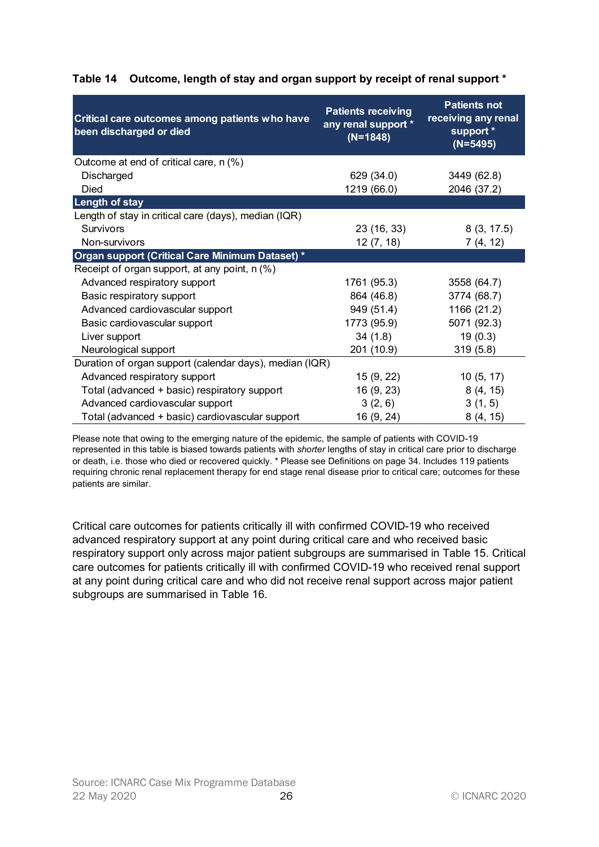| Critical care outcomes among patients who have<br>been discharged or died       | <b>Patients receiving</b><br>any renal support *<br>$(N=1848)$ | <b>Patients not</b><br>receiving any renal<br>support *<br>$(N=5495)$ |
|---------------------------------------------------------------------------------|----------------------------------------------------------------|-----------------------------------------------------------------------|
| Outcome at end of critical care, n (%)                                          | 629 (34.0)                                                     |                                                                       |
| Discharged<br>Died                                                              | 1219 (66.0)                                                    | 3449 (62.8)<br>2046 (37.2)                                            |
| <b>Length of stay</b>                                                           |                                                                |                                                                       |
| Length of stay in critical care (days), median (IQR)                            |                                                                |                                                                       |
| <b>Survivors</b>                                                                | 23 (16, 33)                                                    | 8(3, 17.5)                                                            |
| Non-survivors                                                                   | 12(7, 18)                                                      | 7(4, 12)                                                              |
| Organ support (Critical Care Minimum Dataset) *                                 |                                                                |                                                                       |
| Receipt of organ support, at any point, n (%)                                   |                                                                |                                                                       |
| Advanced respiratory support                                                    | 1761 (95.3)                                                    | 3558 (64.7)                                                           |
| Basic respiratory support                                                       | 864 (46.8)                                                     | 3774 (68.7)                                                           |
| Advanced cardiovascular support                                                 | 949 (51.4)                                                     | 1166 (21.2)                                                           |
| Basic cardiovascular support                                                    | 1773 (95.9)                                                    | 5071 (92.3)                                                           |
| Liver support                                                                   | 34(1.8)                                                        | 19(0.3)                                                               |
| Neurological support                                                            | 201 (10.9)                                                     | 319(5.8)                                                              |
| Duration of organ support (calendar days), median (IQR)                         |                                                                |                                                                       |
| Advanced respiratory support                                                    | 15 (9, 22)                                                     | 10(5, 17)                                                             |
|                                                                                 | 16(9, 23)                                                      | 8(4, 15)                                                              |
|                                                                                 |                                                                |                                                                       |
| Total (advanced + basic) respiratory support<br>Advanced cardiovascular support | 3(2, 6)                                                        | 3(1, 5)                                                               |

## Table 14 Outcome, length of stay and organ support by receipt of renal support \*

Please note that owing to the emerging nature of the epidemic, the sample of patients with COVID-19 represented in this table is biased towards patients with *shorter* lengths of stay in critical care prior to discharge or death, i.e. those who died or recovered quickly. \* Please see Definitions on page 34. Includes 119 patients requiring chronic renal replacement therapy for end stage renal disease prior to critical care; outcomes for these patients are similar.

Critical care outcomes for patients critically ill with confirmed COVID-19 who received advanced respiratory support at any point during critical care and who received basic respiratory support only across major patient subgroups are summarised in Table 15. Critical care outcomes for patients critically ill with confirmed COVID-19 who received renal support at any point during critical care and who did not receive renal support across major patient subgroups are summarised in Table 16.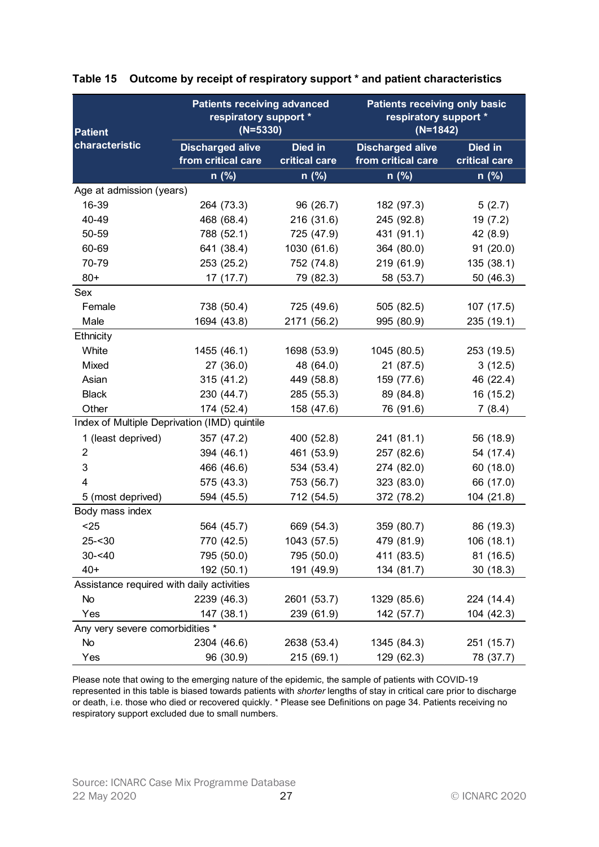| Patient                                   | <b>Patients receiving advanced</b><br>respiratory support *<br>$(N=5330)$ |                         | <b>Patients receiving only basic</b><br>respiratory support *<br>$(N=1842)$ |                      |
|-------------------------------------------|---------------------------------------------------------------------------|-------------------------|-----------------------------------------------------------------------------|----------------------|
| characteristic                            | <b>Discharged alive</b>                                                   | Died in                 | <b>Discharged alive</b>                                                     | Died in              |
|                                           | from critical care                                                        | critical care           | from critical care                                                          | critical care        |
|                                           | $n$ (%)                                                                   | n (%)                   | $n$ (%)                                                                     | $n$ (%)              |
| Age at admission (years)                  |                                                                           |                         |                                                                             |                      |
| 16-39<br>40-49                            | 264 (73.3)                                                                | 96(26.7)                | 182 (97.3)                                                                  | 5(2.7)               |
| 50-59                                     | 468 (68.4)                                                                | 216(31.6)<br>725 (47.9) | 245 (92.8)<br>431 (91.1)                                                    | 19(7.2)              |
| 60-69                                     | 788 (52.1)<br>641 (38.4)                                                  | 1030 (61.6)             | 364 (80.0)                                                                  | 42 (8.9)<br>91(20.0) |
| 70-79                                     | 253 (25.2)                                                                | 752 (74.8)              | 219 (61.9)                                                                  | 135 (38.1)           |
| $80+$                                     | 17(17.7)                                                                  | 79 (82.3)               | 58 (53.7)                                                                   | 50(46.3)             |
| Sex                                       |                                                                           |                         |                                                                             |                      |
| Female                                    | 738 (50.4)                                                                | 725 (49.6)              | 505 (82.5)                                                                  | 107 (17.5)           |
| Male                                      | 1694 (43.8)                                                               | 2171 (56.2)             | 995 (80.9)                                                                  | 235(19.1)            |
| Ethnicity                                 |                                                                           |                         |                                                                             |                      |
| White                                     | 1455 (46.1)                                                               | 1698 (53.9)             | 1045 (80.5)                                                                 | 253 (19.5)           |
| Mixed                                     | 27(36.0)                                                                  | 48 (64.0)               | 21(87.5)                                                                    | 3(12.5)              |
| Asian                                     | 315(41.2)                                                                 | 449 (58.8)              | 159 (77.6)                                                                  | 46 (22.4)            |
| <b>Black</b>                              | 230 (44.7)                                                                | 285 (55.3)              | 89 (84.8)                                                                   | 16 (15.2)            |
| Other                                     | 174 (52.4)                                                                | 158 (47.6)              | 76 (91.6)                                                                   | 7(8.4)               |
|                                           | Index of Multiple Deprivation (IMD) quintile                              |                         |                                                                             |                      |
| 1 (least deprived)                        | 357 (47.2)                                                                | 400 (52.8)              | 241 (81.1)                                                                  | 56 (18.9)            |
| 2                                         | 394 (46.1)                                                                | 461 (53.9)              | 257 (82.6)                                                                  | 54 (17.4)            |
| 3                                         | 466 (46.6)                                                                | 534 (53.4)              | 274 (82.0)                                                                  | 60(18.0)             |
|                                           | 575 (43.3)                                                                | 753 (56.7)              | 323 (83.0)                                                                  | 66 (17.0)            |
| 5 (most deprived)                         | 594 (45.5)                                                                | 712 (54.5)              | 372 (78.2)                                                                  | 104(21.8)            |
| Body mass index                           |                                                                           |                         |                                                                             |                      |
| $25$                                      | 564 (45.7)                                                                | 669 (54.3)              | 359 (80.7)                                                                  | 86 (19.3)            |
| $25 - 30$                                 | 770 (42.5)                                                                | 1043 (57.5)             | 479 (81.9)                                                                  | 106 (18.1)           |
| $30 - 40$                                 | 795 (50.0)                                                                | 795 (50.0)              | 411 (83.5)                                                                  | 81 (16.5)            |
| $40+$                                     | 192 (50.1)                                                                | 191 (49.9)              | 134 (81.7)                                                                  | 30(18.3)             |
| Assistance required with daily activities |                                                                           |                         |                                                                             |                      |
| No                                        | 2239 (46.3)                                                               | 2601 (53.7)             | 1329 (85.6)                                                                 | 224 (14.4)           |
| Yes                                       | 147 (38.1)                                                                | 239 (61.9)              | 142 (57.7)                                                                  | 104 (42.3)           |
| Any very severe comorbidities *           |                                                                           |                         |                                                                             |                      |
| No                                        | 2304 (46.6)                                                               | 2638 (53.4)             | 1345 (84.3)                                                                 | 251 (15.7)           |
| Yes                                       | 96 (30.9)                                                                 | 215(69.1)               | 129 (62.3)                                                                  | 78 (37.7)            |

## Table 15 Outcome by receipt of respiratory support \* and patient characteristics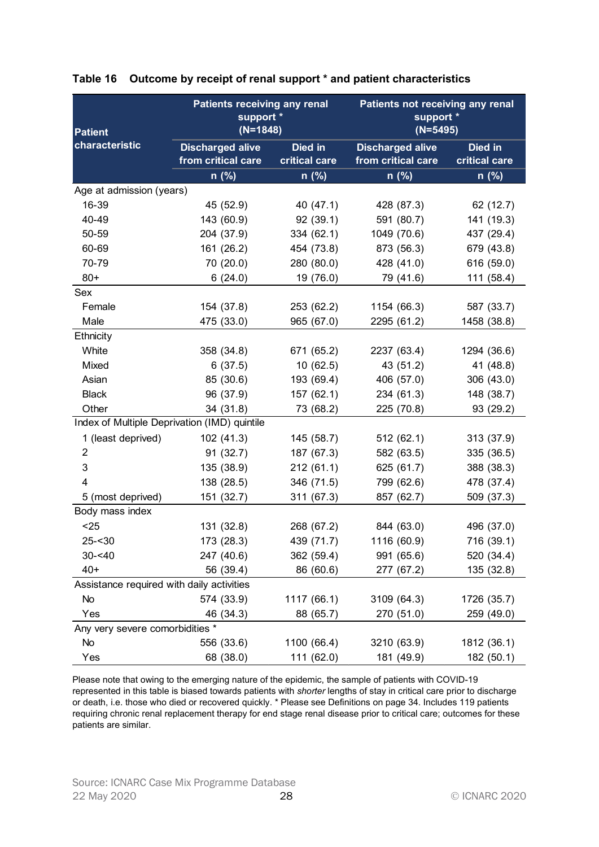| Patient                                      | <b>Patients receiving any renal</b><br>support *<br>$(N=1848)$ |               | Patients not receiving any renal<br>support *<br>$(N=5495)$ |               |
|----------------------------------------------|----------------------------------------------------------------|---------------|-------------------------------------------------------------|---------------|
| characteristic                               | <b>Discharged alive</b><br>from critical care                  | Died in       | <b>Discharged alive</b>                                     | Died in       |
|                                              |                                                                | critical care | from critical care                                          | critical care |
|                                              | $n$ (%)                                                        | n (%)         | $n$ (%)                                                     | $n$ (%)       |
| Age at admission (years)                     |                                                                |               |                                                             |               |
| 16-39                                        | 45 (52.9)                                                      | 40 (47.1)     | 428 (87.3)                                                  | 62 (12.7)     |
| 40-49                                        | 143 (60.9)                                                     | 92(39.1)      | 591 (80.7)                                                  | 141 (19.3)    |
| 50-59                                        | 204 (37.9)                                                     | 334 (62.1)    | 1049 (70.6)                                                 | 437 (29.4)    |
| 60-69                                        | 161 (26.2)                                                     | 454 (73.8)    | 873 (56.3)                                                  | 679 (43.8)    |
| 70-79                                        | 70 (20.0)                                                      | 280 (80.0)    | 428 (41.0)                                                  | 616 (59.0)    |
| $80+$                                        | 6(24.0)                                                        | 19 (76.0)     | 79 (41.6)                                                   | 111(58.4)     |
| Sex                                          |                                                                |               |                                                             |               |
| Female                                       | 154 (37.8)                                                     | 253 (62.2)    | 1154 (66.3)                                                 | 587 (33.7)    |
| Male                                         | 475 (33.0)                                                     | 965 (67.0)    | 2295 (61.2)                                                 | 1458 (38.8)   |
| Ethnicity                                    |                                                                |               |                                                             |               |
| White                                        | 358 (34.8)                                                     | 671 (65.2)    | 2237 (63.4)                                                 | 1294 (36.6)   |
| Mixed                                        | 6(37.5)                                                        | 10(62.5)      | 43 (51.2)                                                   | 41 (48.8)     |
| Asian                                        | 85 (30.6)                                                      | 193 (69.4)    | 406 (57.0)                                                  | 306 (43.0)    |
| <b>Black</b>                                 | 96 (37.9)                                                      | 157 (62.1)    | 234 (61.3)                                                  | 148 (38.7)    |
| Other                                        | 34 (31.8)                                                      | 73 (68.2)     | 225 (70.8)                                                  | 93 (29.2)     |
| Index of Multiple Deprivation (IMD) quintile |                                                                |               |                                                             |               |
| 1 (least deprived)                           | 102(41.3)                                                      | 145 (58.7)    | 512(62.1)                                                   | 313 (37.9)    |
| 2                                            | 91(32.7)                                                       | 187 (67.3)    | 582 (63.5)                                                  | 335 (36.5)    |
| 3                                            | 135 (38.9)                                                     | 212(61.1)     | 625 (61.7)                                                  | 388 (38.3)    |
|                                              | 138 (28.5)                                                     | 346 (71.5)    | 799 (62.6)                                                  | 478 (37.4)    |
| 5 (most deprived)                            | 151 (32.7)                                                     | 311 (67.3)    | 857 (62.7)                                                  | 509 (37.3)    |
| Body mass index                              |                                                                |               |                                                             |               |
| $25$                                         | 131 (32.8)                                                     | 268 (67.2)    | 844 (63.0)                                                  | 496 (37.0)    |
| $25 - 30$                                    | 173 (28.3)                                                     | 439 (71.7)    | 1116 (60.9)                                                 | 716 (39.1)    |
| $30 - 40$                                    | 247 (40.6)                                                     | 362 (59.4)    | 991 (65.6)                                                  | 520 (34.4)    |
| $40+$                                        | 56 (39.4)                                                      | 86 (60.6)     | 277 (67.2)                                                  | 135 (32.8)    |
| Assistance required with daily activities    |                                                                |               |                                                             |               |
| No                                           | 574 (33.9)                                                     | 1117 (66.1)   | 3109 (64.3)                                                 | 1726 (35.7)   |
| Yes                                          | 46 (34.3)                                                      | 88 (65.7)     | 270 (51.0)                                                  | 259 (49.0)    |
| Any very severe comorbidities *              |                                                                |               |                                                             |               |
| No                                           | 556 (33.6)                                                     | 1100 (66.4)   | 3210 (63.9)                                                 | 1812 (36.1)   |
| Yes                                          | 68 (38.0)                                                      | 111 (62.0)    | 181 (49.9)                                                  | 182 (50.1)    |

#### Table 16 Outcome by receipt of renal support \* and patient characteristics

Please note that owing to the emerging nature of the epidemic, the sample of patients with COVID-19 represented in this table is biased towards patients with shorter lengths of stay in critical care prior to discharge or death, i.e. those who died or recovered quickly. \* Please see Definitions on page 34. Includes 119 patients requiring chronic renal replacement therapy for end stage renal disease prior to critical care; outcomes for these patients are similar.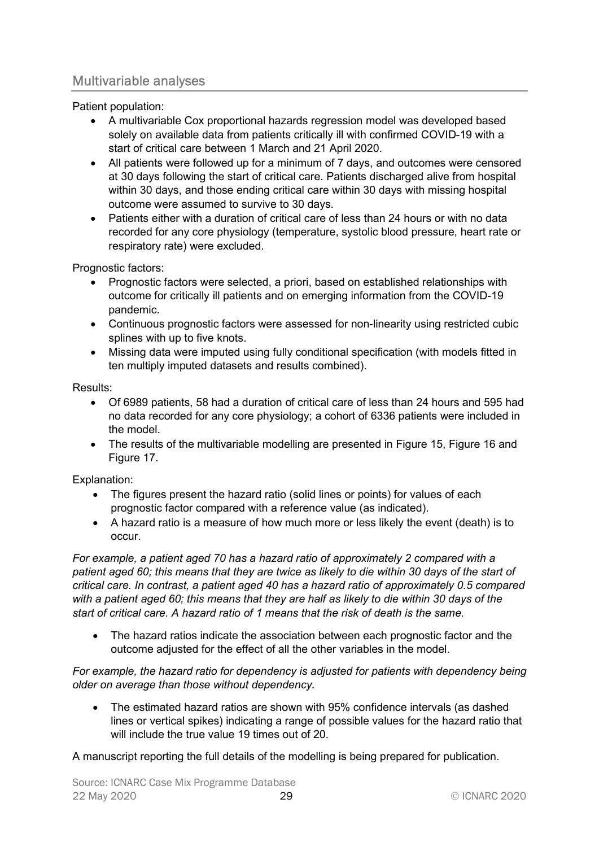## Multivariable analyses

Patient population:

- A multivariable Cox proportional hazards regression model was developed based solely on available data from patients critically ill with confirmed COVID-19 with a start of critical care between 1 March and 21 April 2020.
- All patients were followed up for a minimum of 7 days, and outcomes were censored at 30 days following the start of critical care. Patients discharged alive from hospital within 30 days, and those ending critical care within 30 days with missing hospital outcome were assumed to survive to 30 days.
- Patients either with a duration of critical care of less than 24 hours or with no data recorded for any core physiology (temperature, systolic blood pressure, heart rate or respiratory rate) were excluded.

Prognostic factors:

- Prognostic factors were selected, a priori, based on established relationships with outcome for critically ill patients and on emerging information from the COVID-19 pandemic.
- Continuous prognostic factors were assessed for non-linearity using restricted cubic splines with up to five knots.
- Missing data were imputed using fully conditional specification (with models fitted in ten multiply imputed datasets and results combined).

#### Results:

- Of 6989 patients, 58 had a duration of critical care of less than 24 hours and 595 had no data recorded for any core physiology; a cohort of 6336 patients were included in the model.
- The results of the multivariable modelling are presented in Figure 15, Figure 16 and Figure 17.

Explanation:

- The figures present the hazard ratio (solid lines or points) for values of each prognostic factor compared with a reference value (as indicated).
- A hazard ratio is a measure of how much more or less likely the event (death) is to occur.

For example, a patient aged 70 has a hazard ratio of approximately 2 compared with a patient aged 60; this means that they are twice as likely to die within 30 days of the start of critical care. In contrast, a patient aged 40 has a hazard ratio of approximately 0.5 compared with a patient aged 60; this means that they are half as likely to die within 30 days of the start of critical care. A hazard ratio of 1 means that the risk of death is the same.

 The hazard ratios indicate the association between each prognostic factor and the outcome adjusted for the effect of all the other variables in the model.

For example, the hazard ratio for dependency is adjusted for patients with dependency being older on average than those without dependency.

 The estimated hazard ratios are shown with 95% confidence intervals (as dashed lines or vertical spikes) indicating a range of possible values for the hazard ratio that will include the true value 19 times out of 20.

A manuscript reporting the full details of the modelling is being prepared for publication.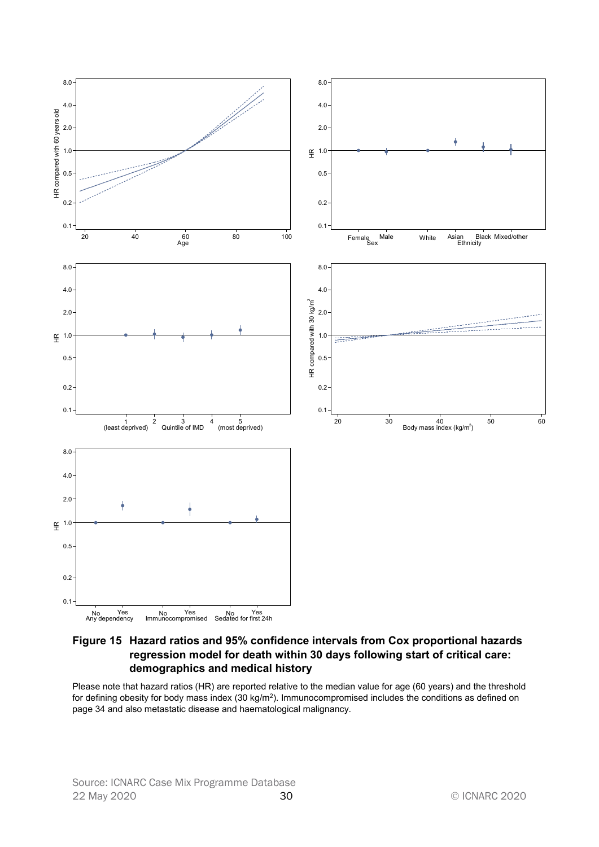

Figure 15 Hazard ratios and 95% confidence intervals from Cox proportional hazards regression model for death within 30 days following start of critical care: demographics and medical history

Please note that hazard ratios (HR) are reported relative to the median value for age (60 years) and the threshold for defining obesity for body mass index (30 kg/m<sup>2</sup>). Immunocompromised includes the conditions as defined on page 34 and also metastatic disease and haematological malignancy.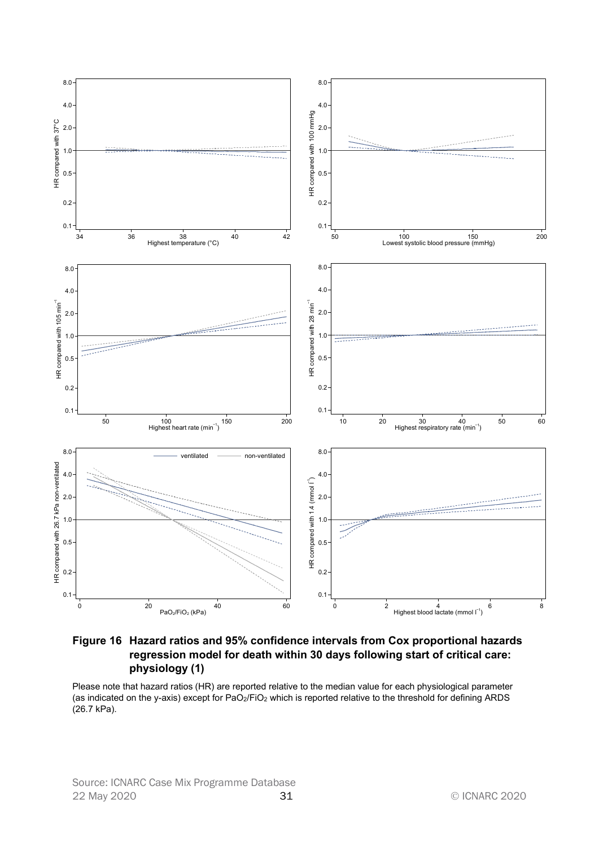

Figure 16 Hazard ratios and 95% confidence intervals from Cox proportional hazards regression model for death within 30 days following start of critical care: physiology (1)

Please note that hazard ratios (HR) are reported relative to the median value for each physiological parameter (as indicated on the y-axis) except for PaO2/FiO2 which is reported relative to the threshold for defining ARDS (26.7 kPa).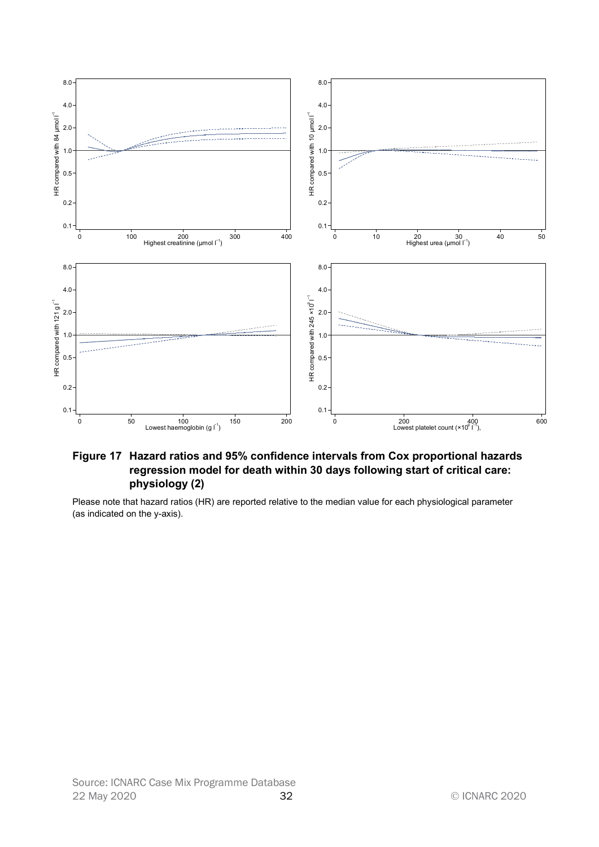

#### Figure 17 Hazard ratios and 95% confidence intervals from Cox proportional hazards regression model for death within 30 days following start of critical care: physiology (2)

Please note that hazard ratios (HR) are reported relative to the median value for each physiological parameter (as indicated on the y-axis).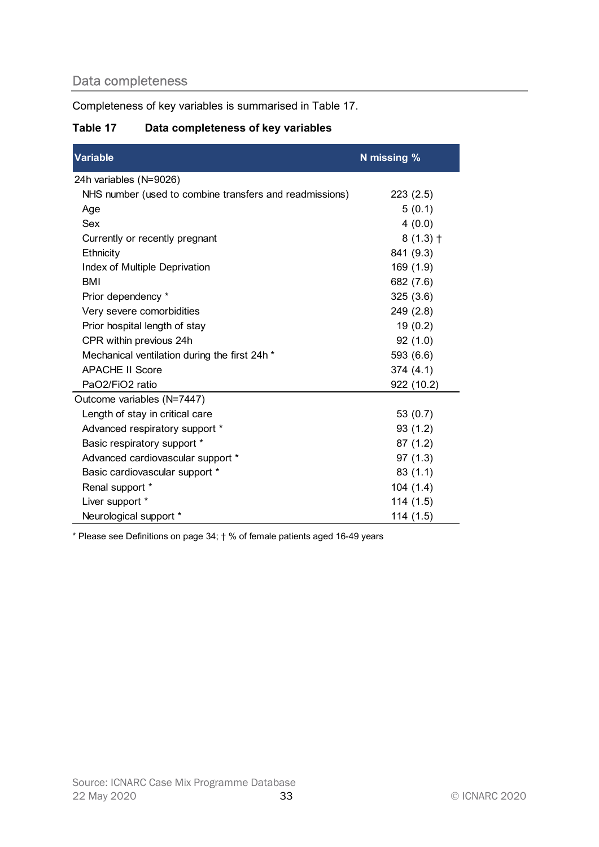# Data completeness

## Table 17 Data completeness of key variables

| Completeness of key variables is summarised in Table 17. |             |
|----------------------------------------------------------|-------------|
| Table 17<br>Data completeness of key variables           |             |
| Variable                                                 | N missing % |
| 24h variables (N=9026)                                   |             |
| NHS number (used to combine transfers and readmissions)  | 223(2.5)    |
| Age                                                      | 5(0.1)      |
| Sex                                                      | 4(0.0)      |
| Currently or recently pregnant                           | $8(1.3)$ †  |
| Ethnicity                                                | 841 (9.3)   |
| Index of Multiple Deprivation                            | 169 (1.9)   |
| <b>BMI</b>                                               | 682 (7.6)   |
| Prior dependency *                                       | 325(3.6)    |
| Very severe comorbidities                                | 249(2.8)    |
| Prior hospital length of stay                            | 19(0.2)     |
| CPR within previous 24h                                  | 92(1.0)     |
| Mechanical ventilation during the first 24h *            | 593 (6.6)   |
| <b>APACHE II Score</b>                                   | 374 (4.1)   |
| PaO2/FiO2 ratio                                          | 922 (10.2)  |
| Outcome variables (N=7447)                               |             |
| Length of stay in critical care                          | 53 $(0.7)$  |
| Advanced respiratory support *                           | 93(1.2)     |
| Basic respiratory support *                              | 87(1.2)     |
| Advanced cardiovascular support *                        | 97(1.3)     |
| Basic cardiovascular support *                           | 83(1.1)     |
| Renal support *                                          | 104(1.4)    |
| Liver support *                                          | 114(1.5)    |
| Neurological support *                                   | 114(1.5)    |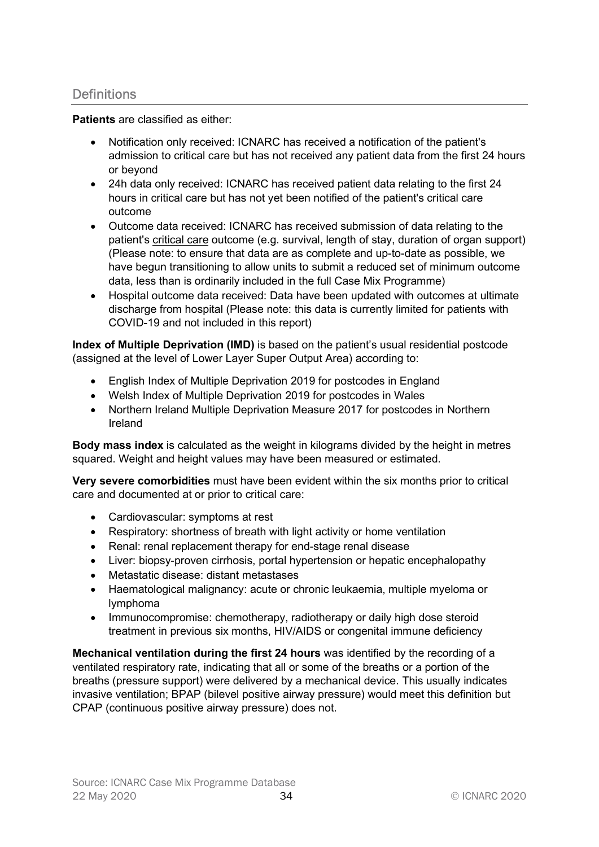## **Definitions**

Patients are classified as either:

- Notification only received: ICNARC has received a notification of the patient's admission to critical care but has not received any patient data from the first 24 hours or beyond
- 24h data only received: ICNARC has received patient data relating to the first 24 hours in critical care but has not yet been notified of the patient's critical care outcome
- Outcome data received: ICNARC has received submission of data relating to the patient's critical care outcome (e.g. survival, length of stay, duration of organ support) (Please note: to ensure that data are as complete and up-to-date as possible, we have begun transitioning to allow units to submit a reduced set of minimum outcome data, less than is ordinarily included in the full Case Mix Programme)
- Hospital outcome data received: Data have been updated with outcomes at ultimate discharge from hospital (Please note: this data is currently limited for patients with COVID-19 and not included in this report)

Index of Multiple Deprivation (IMD) is based on the patient's usual residential postcode (assigned at the level of Lower Layer Super Output Area) according to:

- English Index of Multiple Deprivation 2019 for postcodes in England
- Welsh Index of Multiple Deprivation 2019 for postcodes in Wales
- Northern Ireland Multiple Deprivation Measure 2017 for postcodes in Northern Ireland

Body mass index is calculated as the weight in kilograms divided by the height in metres squared. Weight and height values may have been measured or estimated.

Very severe comorbidities must have been evident within the six months prior to critical care and documented at or prior to critical care:

- Cardiovascular: symptoms at rest
- Respiratory: shortness of breath with light activity or home ventilation
- Renal: renal replacement therapy for end-stage renal disease
- Liver: biopsy-proven cirrhosis, portal hypertension or hepatic encephalopathy
- Metastatic disease: distant metastases
- Haematological malignancy: acute or chronic leukaemia, multiple myeloma or lymphoma
- Immunocompromise: chemotherapy, radiotherapy or daily high dose steroid treatment in previous six months, HIV/AIDS or congenital immune deficiency

Mechanical ventilation during the first 24 hours was identified by the recording of a ventilated respiratory rate, indicating that all or some of the breaths or a portion of the breaths (pressure support) were delivered by a mechanical device. This usually indicates invasive ventilation; BPAP (bilevel positive airway pressure) would meet this definition but CPAP (continuous positive airway pressure) does not.